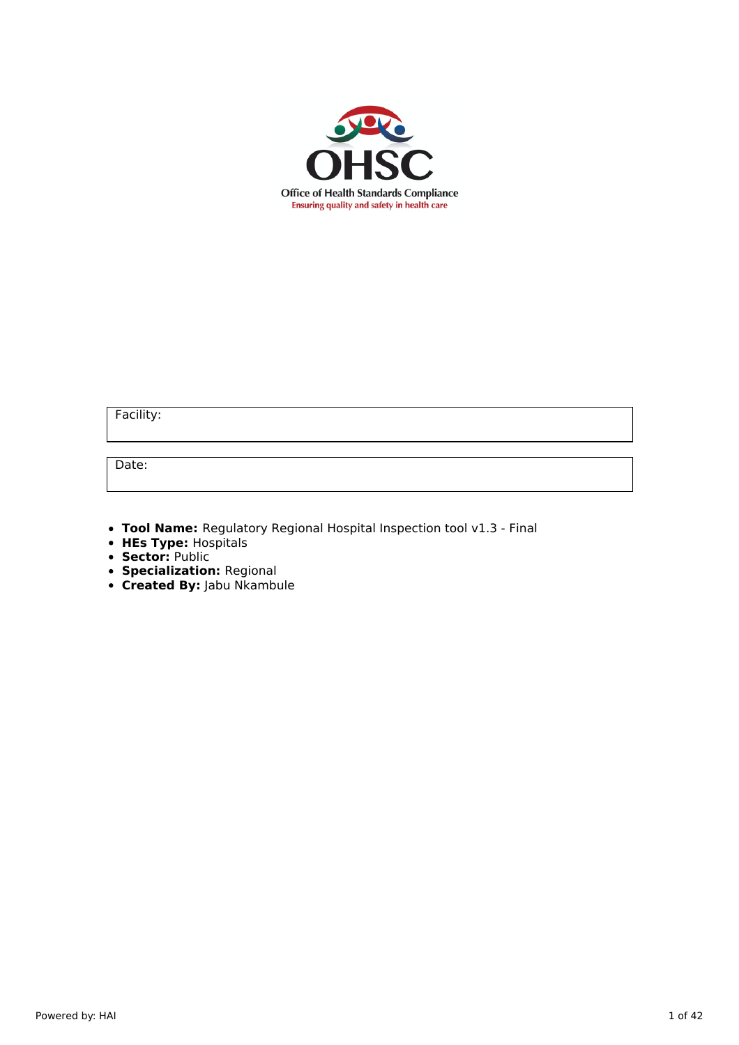

Facility:

Date:

- **Tool Name:** Regulatory Regional Hospital Inspection tool v1.3 Final
- **HEs Type:** Hospitals
- **Sector:** Public
- **Specialization:** Regional
- **Created By:** Jabu Nkambule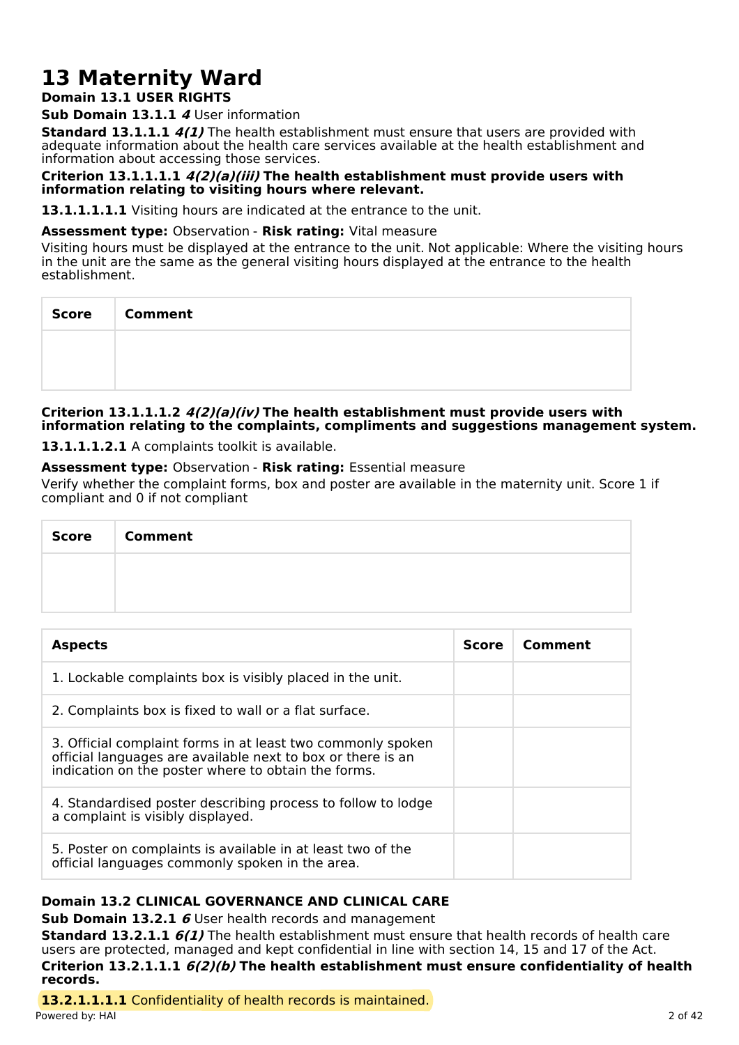# **13 Maternity Ward**

## **Domain 13.1 USER RIGHTS**

**Sub Domain 13.1.1 4** User information

**Standard 13.1.1.1 4(1)** The health establishment must ensure that users are provided with adequate information about the health care services available at the health establishment and information about accessing those services.

#### **Criterion 13.1.1.1.1 4(2)(a)(iii) The health establishment must provide users with information relating to visiting hours where relevant.**

13.1.1.1.1.1 Visiting hours are indicated at the entrance to the unit.

#### **Assessment type:** Observation - **Risk rating:** Vital measure

Visiting hours must be displayed at the entrance to the unit. Not applicable: Where the visiting hours in the unit are the same as the general visiting hours displayed at the entrance to the health establishment.

| Score   Comment |
|-----------------|
|                 |
|                 |

#### **Criterion 13.1.1.1.2 4(2)(a)(iv) The health establishment must provide users with information relating to the complaints, compliments and suggestions management system.**

**13.1.1.1.2.1** A complaints toolkit is available.

### **Assessment type:** Observation - **Risk rating:** Essential measure

Verify whether the complaint forms, box and poster are available in the maternity unit. Score 1 if compliant and 0 if not compliant

| Score   Comment |
|-----------------|
|                 |
|                 |

| <b>Aspects</b>                                                                                                                                                                    | <b>Score</b> | Comment |
|-----------------------------------------------------------------------------------------------------------------------------------------------------------------------------------|--------------|---------|
| 1. Lockable complaints box is visibly placed in the unit.                                                                                                                         |              |         |
| 2. Complaints box is fixed to wall or a flat surface.                                                                                                                             |              |         |
| 3. Official complaint forms in at least two commonly spoken<br>official languages are available next to box or there is an<br>indication on the poster where to obtain the forms. |              |         |
| 4. Standardised poster describing process to follow to lodge<br>a complaint is visibly displayed.                                                                                 |              |         |
| 5. Poster on complaints is available in at least two of the<br>official languages commonly spoken in the area.                                                                    |              |         |

## **Domain 13.2 CLINICAL GOVERNANCE AND CLINICAL CARE**

**Sub Domain 13.2.1 6** User health records and management

**Standard 13.2.1.1 6(1)** The health establishment must ensure that health records of health care users are protected, managed and kept confidential in line with section 14, 15 and 17 of the Act. **Criterion 13.2.1.1.1 6(2)(b) The health establishment must ensure confidentiality of health records.**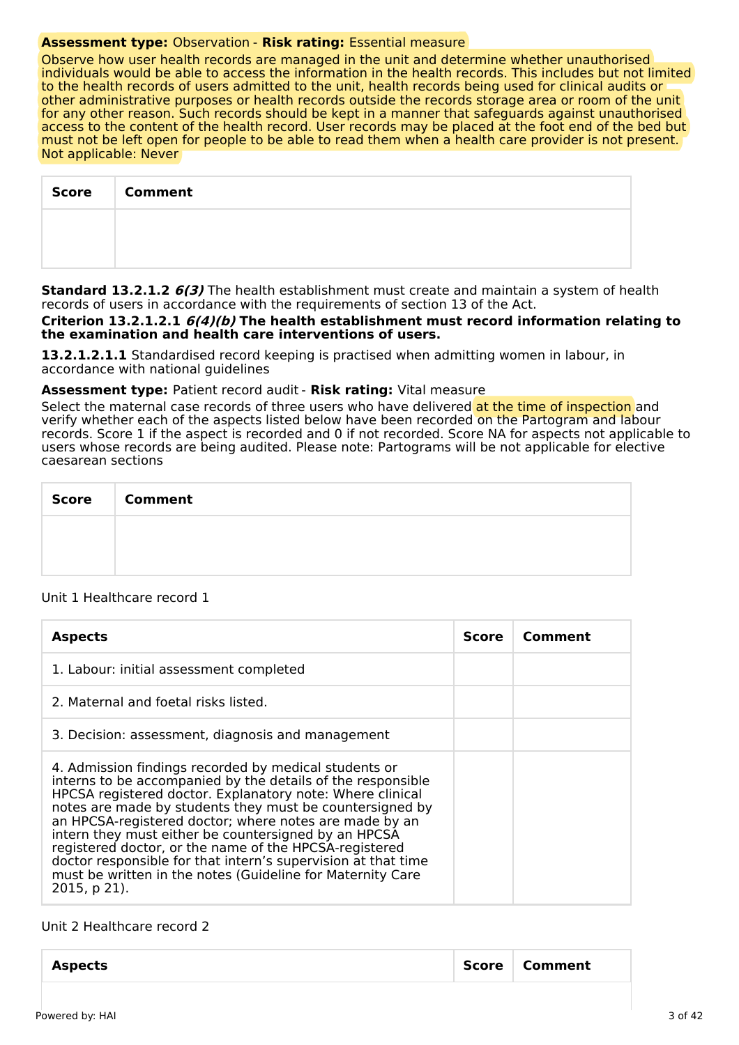#### **Assessment type:** Observation - **Risk rating:** Essential measure

Observe how user health records are managed in the unit and determine whether unauthorised individuals would be able to access the information in the health records. This includes but not limited to the health records of users admitted to the unit, health records being used for clinical audits or other administrative purposes or health records outside the records storage area or room of the unit for any other reason. Such records should be kept in a manner that safeguards against unauthorised access to the content of the health record. User records may be placed at the foot end of the bed but must not be left open for people to be able to read them when a health care provider is not present. Not applicable: Never

| <b>Score</b> | <b>Comment</b> |
|--------------|----------------|
|              |                |
|              |                |

**Standard 13.2.1.2 6(3)** The health establishment must create and maintain a system of health records of users in accordance with the requirements of section 13 of the Act.

**Criterion 13.2.1.2.1 6(4)(b) The health establishment must record information relating to the examination and health care interventions of users.**

**13.2.1.2.1.1** Standardised record keeping is practised when admitting women in labour, in accordance with national guidelines

#### **Assessment type:** Patient record audit - **Risk rating:** Vital measure

Select the maternal case records of three users who have delivered at the time of inspection and verify whether each of the aspects listed below have been recorded on the Partogram and labour records. Score 1 if the aspect is recorded and 0 if not recorded. Score NA for aspects not applicable to users whose records are being audited. Please note: Partograms will be not applicable for elective caesarean sections

| <b>Score</b> | <b>Comment</b> |
|--------------|----------------|
|              |                |
|              |                |

#### Unit 1 Healthcare record 1

| <b>Aspects</b>                                                                                                                                                                                                                                                                                                                                                                                                                                                                                                                                                           | Score | Comment |
|--------------------------------------------------------------------------------------------------------------------------------------------------------------------------------------------------------------------------------------------------------------------------------------------------------------------------------------------------------------------------------------------------------------------------------------------------------------------------------------------------------------------------------------------------------------------------|-------|---------|
| 1. Labour: initial assessment completed                                                                                                                                                                                                                                                                                                                                                                                                                                                                                                                                  |       |         |
| 2. Maternal and foetal risks listed.                                                                                                                                                                                                                                                                                                                                                                                                                                                                                                                                     |       |         |
| 3. Decision: assessment, diagnosis and management                                                                                                                                                                                                                                                                                                                                                                                                                                                                                                                        |       |         |
| 4. Admission findings recorded by medical students or<br>interns to be accompanied by the details of the responsible<br>HPCSA registered doctor. Explanatory note: Where clinical<br>notes are made by students they must be countersigned by<br>an HPCSA-registered doctor; where notes are made by an<br>intern they must either be countersigned by an HPCSA<br>registered doctor, or the name of the HPCSA-registered<br>doctor responsible for that intern's supervision at that time<br>must be written in the notes (Guideline for Maternity Care<br>2015, p 21). |       |         |

#### Unit 2 Healthcare record 2

| <b>Aspects</b> | Score   Comment |
|----------------|-----------------|
|                |                 |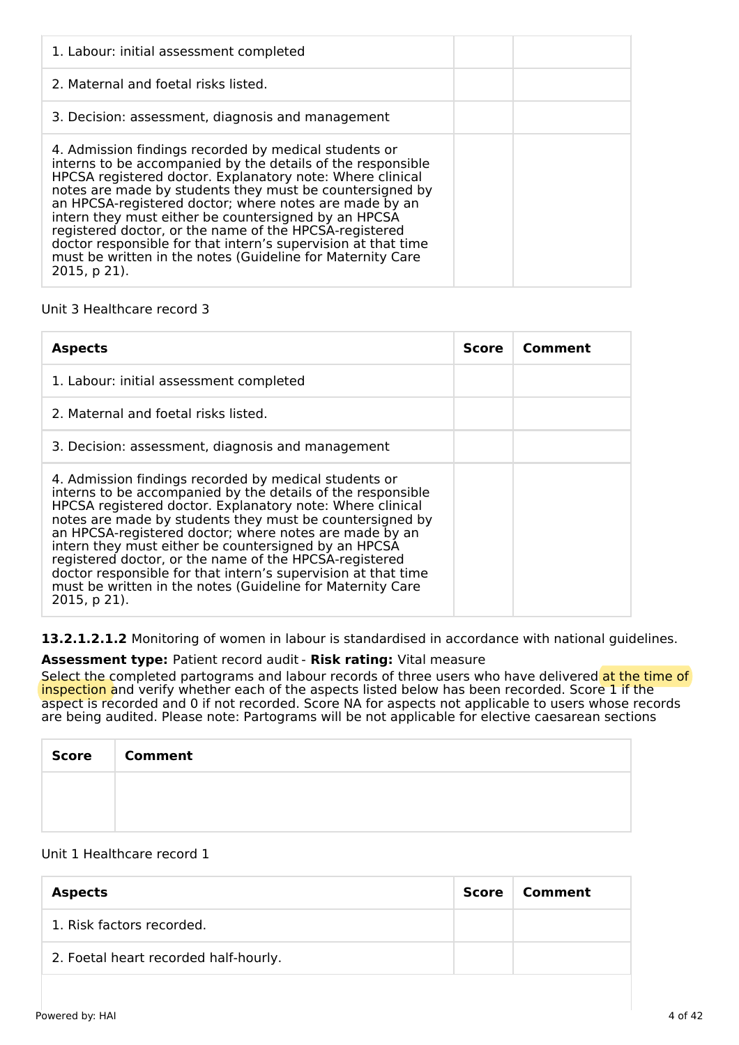| 1. Labour: initial assessment completed                                                                                                                                                                                                                                                                                                                                                                                                                                                                                                                                  |  |
|--------------------------------------------------------------------------------------------------------------------------------------------------------------------------------------------------------------------------------------------------------------------------------------------------------------------------------------------------------------------------------------------------------------------------------------------------------------------------------------------------------------------------------------------------------------------------|--|
| 2. Maternal and foetal risks listed.                                                                                                                                                                                                                                                                                                                                                                                                                                                                                                                                     |  |
| 3. Decision: assessment, diagnosis and management                                                                                                                                                                                                                                                                                                                                                                                                                                                                                                                        |  |
| 4. Admission findings recorded by medical students or<br>interns to be accompanied by the details of the responsible<br>HPCSA registered doctor. Explanatory note: Where clinical<br>notes are made by students they must be countersigned by<br>an HPCSA-registered doctor; where notes are made by an<br>intern they must either be countersigned by an HPCSA<br>registered doctor, or the name of the HPCSA-registered<br>doctor responsible for that intern's supervision at that time<br>must be written in the notes (Guideline for Maternity Care<br>2015, p 21). |  |

## Unit 3 Healthcare record 3

| <b>Aspects</b>                                                                                                                                                                                                                                                                                                                                                                                                                                                                                                                                                                 | Score | Comment |
|--------------------------------------------------------------------------------------------------------------------------------------------------------------------------------------------------------------------------------------------------------------------------------------------------------------------------------------------------------------------------------------------------------------------------------------------------------------------------------------------------------------------------------------------------------------------------------|-------|---------|
| 1. Labour: initial assessment completed                                                                                                                                                                                                                                                                                                                                                                                                                                                                                                                                        |       |         |
| 2. Maternal and foetal risks listed.                                                                                                                                                                                                                                                                                                                                                                                                                                                                                                                                           |       |         |
| 3. Decision: assessment, diagnosis and management                                                                                                                                                                                                                                                                                                                                                                                                                                                                                                                              |       |         |
| 4. Admission findings recorded by medical students or<br>interns to be accompanied by the details of the responsible<br>HPCSA registered doctor. Explanatory note: Where clinical<br>notes are made by students they must be countersigned by<br>an HPCSA-registered doctor; where notes are made by an<br>intern they must either be countersigned by an HPCSA<br>registered doctor, or the name of the HPCSA-registered<br>doctor responsible for that intern's supervision at that time<br>must be written in the notes (Guideline for Maternity Care<br>$2015$ , p $21$ ). |       |         |

**13.2.1.2.1.2** Monitoring of women in labour is standardised in accordance with national guidelines.

## **Assessment type:** Patient record audit - **Risk rating:** Vital measure

Select the completed partograms and labour records of three users who have delivered at the time of inspection and verify whether each of the aspects listed below has been recorded. Score 1 if the aspect is recorded and 0 if not recorded. Score NA for aspects not applicable to users whose records are being audited. Please note: Partograms will be not applicable for elective caesarean sections

| Score Comment |
|---------------|
|               |
|               |

## Unit 1 Healthcare record 1

| <b>Aspects</b>                        | Score | Comment |
|---------------------------------------|-------|---------|
| 1. Risk factors recorded.             |       |         |
| 2. Foetal heart recorded half-hourly. |       |         |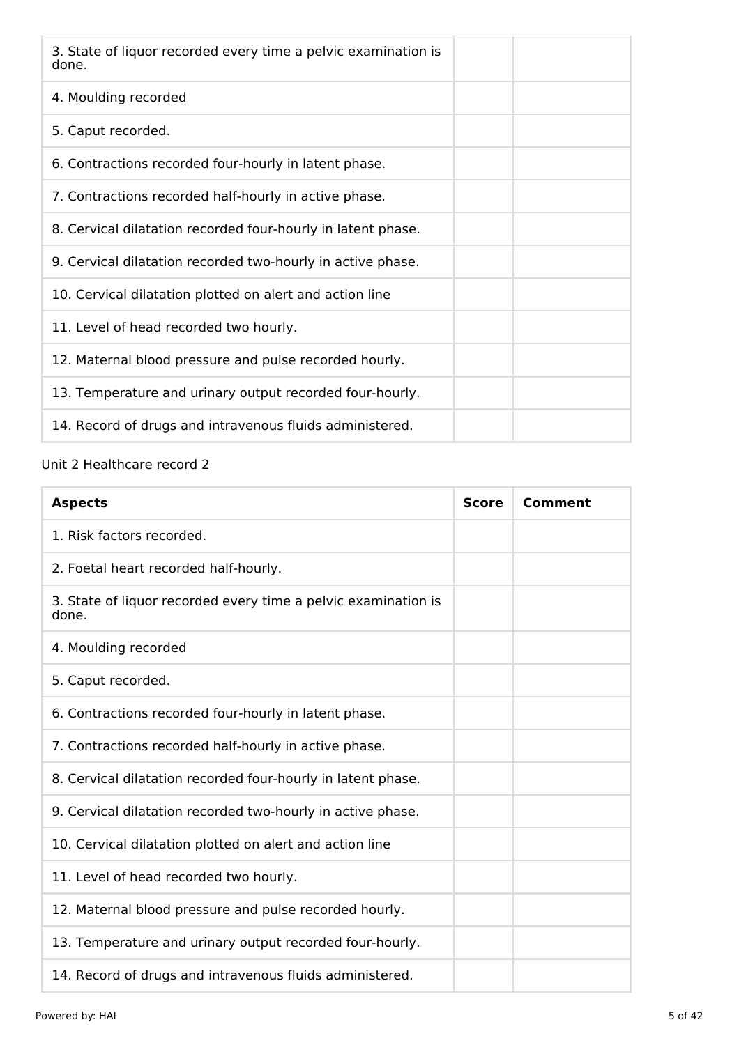| 3. State of liquor recorded every time a pelvic examination is<br>done. |
|-------------------------------------------------------------------------|
| 4. Moulding recorded                                                    |
| 5. Caput recorded.                                                      |
| 6. Contractions recorded four-hourly in latent phase.                   |
| 7. Contractions recorded half-hourly in active phase.                   |
| 8. Cervical dilatation recorded four-hourly in latent phase.            |
| 9. Cervical dilatation recorded two-hourly in active phase.             |
| 10. Cervical dilatation plotted on alert and action line                |
| 11. Level of head recorded two hourly.                                  |
| 12. Maternal blood pressure and pulse recorded hourly.                  |
| 13. Temperature and urinary output recorded four-hourly.                |
| 14. Record of drugs and intravenous fluids administered.                |

# Unit 2 Healthcare record 2

| <b>Aspects</b>                                                          | <b>Score</b> | Comment |
|-------------------------------------------------------------------------|--------------|---------|
| 1. Risk factors recorded.                                               |              |         |
| 2. Foetal heart recorded half-hourly.                                   |              |         |
| 3. State of liquor recorded every time a pelvic examination is<br>done. |              |         |
| 4. Moulding recorded                                                    |              |         |
| 5. Caput recorded.                                                      |              |         |
| 6. Contractions recorded four-hourly in latent phase.                   |              |         |
| 7. Contractions recorded half-hourly in active phase.                   |              |         |
| 8. Cervical dilatation recorded four-hourly in latent phase.            |              |         |
| 9. Cervical dilatation recorded two-hourly in active phase.             |              |         |
| 10. Cervical dilatation plotted on alert and action line                |              |         |
| 11. Level of head recorded two hourly.                                  |              |         |
| 12. Maternal blood pressure and pulse recorded hourly.                  |              |         |
| 13. Temperature and urinary output recorded four-hourly.                |              |         |
| 14. Record of drugs and intravenous fluids administered.                |              |         |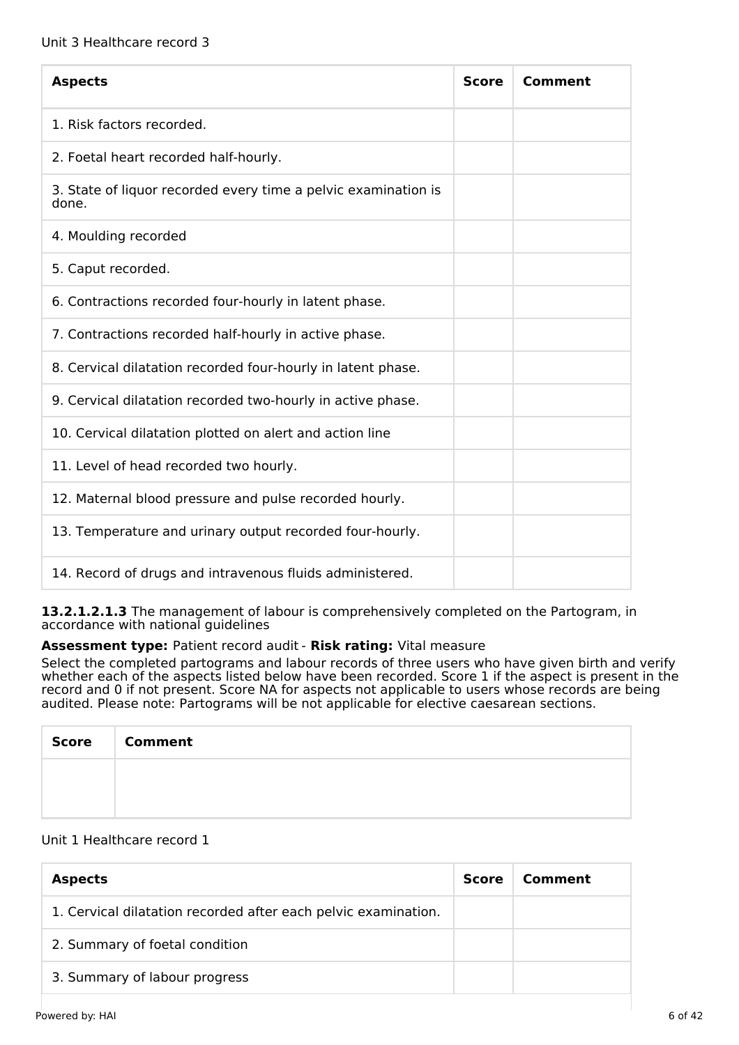| <b>Aspects</b>                                                          | <b>Score</b> | Comment |
|-------------------------------------------------------------------------|--------------|---------|
| 1. Risk factors recorded.                                               |              |         |
| 2. Foetal heart recorded half-hourly.                                   |              |         |
| 3. State of liquor recorded every time a pelvic examination is<br>done. |              |         |
| 4. Moulding recorded                                                    |              |         |
| 5. Caput recorded.                                                      |              |         |
| 6. Contractions recorded four-hourly in latent phase.                   |              |         |
| 7. Contractions recorded half-hourly in active phase.                   |              |         |
| 8. Cervical dilatation recorded four-hourly in latent phase.            |              |         |
| 9. Cervical dilatation recorded two-hourly in active phase.             |              |         |
| 10. Cervical dilatation plotted on alert and action line                |              |         |
| 11. Level of head recorded two hourly.                                  |              |         |
| 12. Maternal blood pressure and pulse recorded hourly.                  |              |         |
| 13. Temperature and urinary output recorded four-hourly.                |              |         |
| 14. Record of drugs and intravenous fluids administered.                |              |         |

**13.2.1.2.1.3** The management of labour is comprehensively completed on the Partogram, in accordance with national guidelines

## **Assessment type:** Patient record audit - **Risk rating:** Vital measure

Select the completed partograms and labour records of three users who have given birth and verify whether each of the aspects listed below have been recorded. Score 1 if the aspect is present in the record and 0 if not present. Score NA for aspects not applicable to users whose records are being audited. Please note: Partograms will be not applicable for elective caesarean sections.

| Score   Comment |
|-----------------|
|                 |
|                 |

#### Unit 1 Healthcare record 1

| <b>Aspects</b>                                                 | <b>Score</b> | Comment |
|----------------------------------------------------------------|--------------|---------|
| 1. Cervical dilatation recorded after each pelvic examination. |              |         |
| 2. Summary of foetal condition                                 |              |         |
| 3. Summary of labour progress                                  |              |         |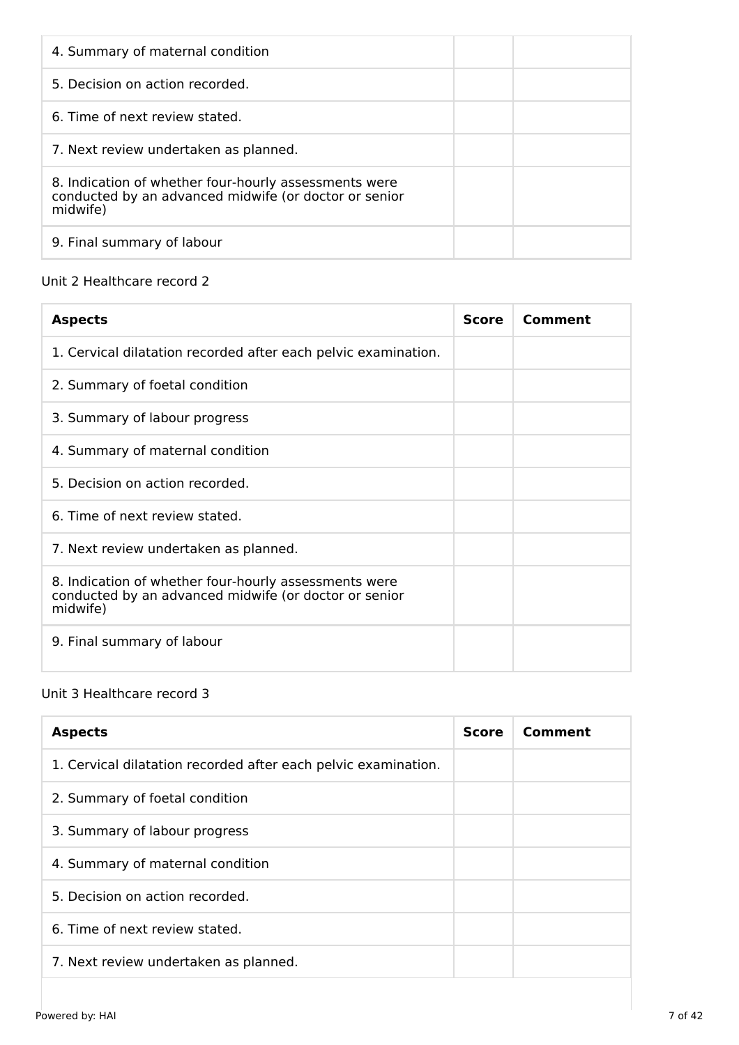| 4. Summary of maternal condition                                                                                           |  |
|----------------------------------------------------------------------------------------------------------------------------|--|
| 5. Decision on action recorded.                                                                                            |  |
| 6. Time of next review stated.                                                                                             |  |
| 7. Next review undertaken as planned.                                                                                      |  |
| 8. Indication of whether four-hourly assessments were<br>conducted by an advanced midwife (or doctor or senior<br>midwife) |  |
| 9. Final summary of labour                                                                                                 |  |

# Unit 2 Healthcare record 2

| <b>Aspects</b>                                                                                                             | <b>Score</b> | Comment |
|----------------------------------------------------------------------------------------------------------------------------|--------------|---------|
| 1. Cervical dilatation recorded after each pelvic examination.                                                             |              |         |
| 2. Summary of foetal condition                                                                                             |              |         |
| 3. Summary of labour progress                                                                                              |              |         |
| 4. Summary of maternal condition                                                                                           |              |         |
| 5. Decision on action recorded.                                                                                            |              |         |
| 6. Time of next review stated.                                                                                             |              |         |
| 7. Next review undertaken as planned.                                                                                      |              |         |
| 8. Indication of whether four-hourly assessments were<br>conducted by an advanced midwife (or doctor or senior<br>midwife) |              |         |
| 9. Final summary of labour                                                                                                 |              |         |

# Unit 3 Healthcare record 3

| <b>Aspects</b>                                                 | <b>Score</b> | Comment |
|----------------------------------------------------------------|--------------|---------|
| 1. Cervical dilatation recorded after each pelvic examination. |              |         |
| 2. Summary of foetal condition                                 |              |         |
| 3. Summary of labour progress                                  |              |         |
| 4. Summary of maternal condition                               |              |         |
| 5. Decision on action recorded.                                |              |         |
| 6. Time of next review stated.                                 |              |         |
| 7. Next review undertaken as planned.                          |              |         |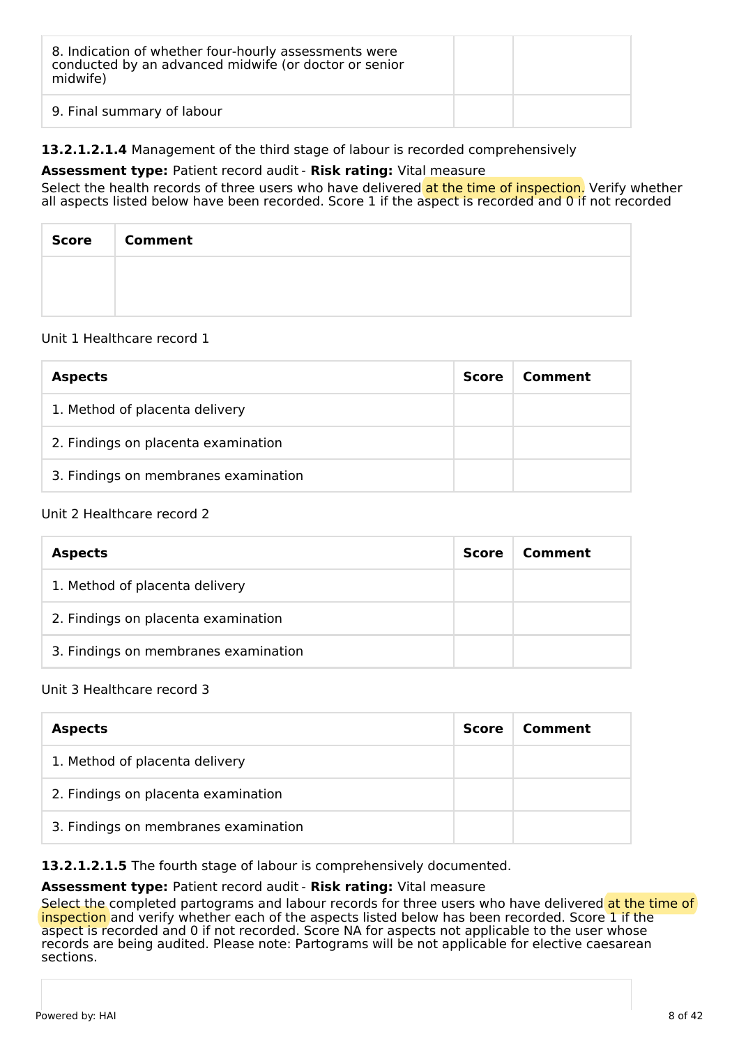| 8. Indication of whether four-hourly assessments were<br>conducted by an advanced midwife (or doctor or senior<br>midwife) |  |
|----------------------------------------------------------------------------------------------------------------------------|--|
| 9. Final summary of labour                                                                                                 |  |

## **13.2.1.2.1.4** Management of the third stage of labour is recorded comprehensively

### **Assessment type:** Patient record audit - **Risk rating:** Vital measure

Select the health records of three users who have delivered at the time of inspection. Verify whether all aspects listed below have been recorded. Score 1 if the aspect is recorded and 0 if not recorded

| Score | <b>Comment</b> |
|-------|----------------|
|       |                |
|       |                |

#### Unit 1 Healthcare record 1

| <b>Aspects</b>                       | <b>Score</b> | Comment |
|--------------------------------------|--------------|---------|
| 1. Method of placenta delivery       |              |         |
| 2. Findings on placenta examination  |              |         |
| 3. Findings on membranes examination |              |         |

### Unit 2 Healthcare record 2

| <b>Aspects</b>                       | <b>Score</b> | Comment |
|--------------------------------------|--------------|---------|
| 1. Method of placenta delivery       |              |         |
| 2. Findings on placenta examination  |              |         |
| 3. Findings on membranes examination |              |         |

#### Unit 3 Healthcare record 3

| <b>Aspects</b>                       | <b>Score</b> | Comment |
|--------------------------------------|--------------|---------|
| 1. Method of placenta delivery       |              |         |
| 2. Findings on placenta examination  |              |         |
| 3. Findings on membranes examination |              |         |

## **13.2.1.2.1.5** The fourth stage of labour is comprehensively documented.

#### **Assessment type:** Patient record audit - **Risk rating:** Vital measure

Select the completed partograms and labour records for three users who have delivered at the time of inspection and verify whether each of the aspects listed below has been recorded. Score 1 if the aspect is recorded and 0 if not recorded. Score NA for aspects not applicable to the user whose records are being audited. Please note: Partograms will be not applicable for elective caesarean sections.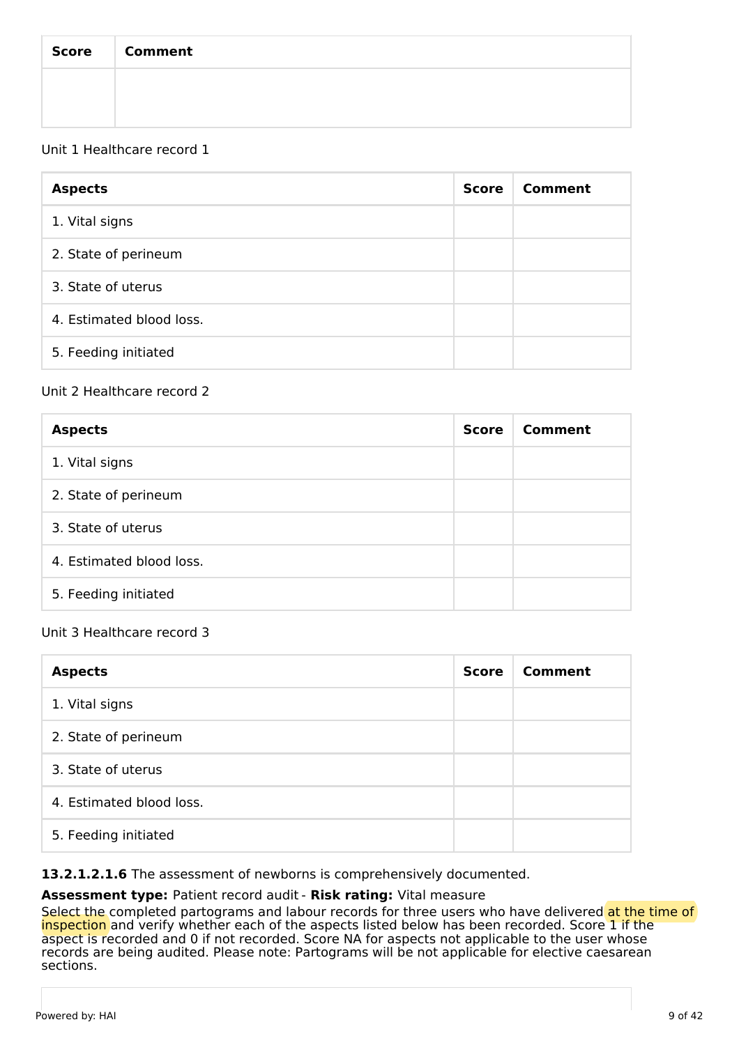| Score   Comment |
|-----------------|
|                 |
|                 |

## Unit 1 Healthcare record 1

| <b>Aspects</b>           | <b>Score</b> | Comment |
|--------------------------|--------------|---------|
| 1. Vital signs           |              |         |
| 2. State of perineum     |              |         |
| 3. State of uterus       |              |         |
| 4. Estimated blood loss. |              |         |
| 5. Feeding initiated     |              |         |

## Unit 2 Healthcare record 2

| <b>Aspects</b>           | <b>Score</b> | Comment |
|--------------------------|--------------|---------|
| 1. Vital signs           |              |         |
| 2. State of perineum     |              |         |
| 3. State of uterus       |              |         |
| 4. Estimated blood loss. |              |         |
| 5. Feeding initiated     |              |         |

## Unit 3 Healthcare record 3

| <b>Aspects</b>           | <b>Score</b> | Comment |
|--------------------------|--------------|---------|
| 1. Vital signs           |              |         |
| 2. State of perineum     |              |         |
| 3. State of uterus       |              |         |
| 4. Estimated blood loss. |              |         |
| 5. Feeding initiated     |              |         |

### **13.2.1.2.1.6** The assessment of newborns is comprehensively documented.

#### **Assessment type:** Patient record audit - **Risk rating:** Vital measure

Select the completed partograms and labour records for three users who have delivered at the time of inspection and verify whether each of the aspects listed below has been recorded. Score 1 if the aspect is recorded and 0 if not recorded. Score NA for aspects not applicable to the user whose records are being audited. Please note: Partograms will be not applicable for elective caesarean sections.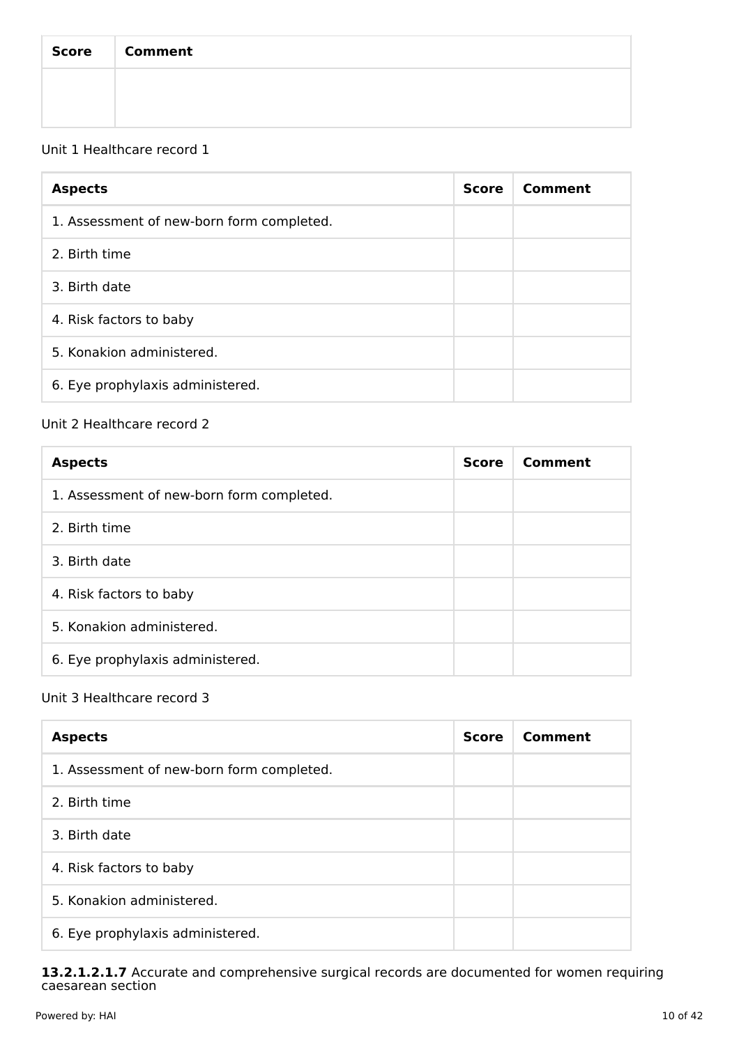| Score   Comment |
|-----------------|
|                 |
|                 |

# Unit 1 Healthcare record 1

| <b>Aspects</b>                            | <b>Score</b> | Comment |
|-------------------------------------------|--------------|---------|
| 1. Assessment of new-born form completed. |              |         |
| 2. Birth time                             |              |         |
| 3. Birth date                             |              |         |
| 4. Risk factors to baby                   |              |         |
| 5. Konakion administered.                 |              |         |
| 6. Eye prophylaxis administered.          |              |         |

## Unit 2 Healthcare record 2

| <b>Aspects</b>                            | <b>Score</b> | Comment |
|-------------------------------------------|--------------|---------|
| 1. Assessment of new-born form completed. |              |         |
| 2. Birth time                             |              |         |
| 3. Birth date                             |              |         |
| 4. Risk factors to baby                   |              |         |
| 5. Konakion administered.                 |              |         |
| 6. Eye prophylaxis administered.          |              |         |

## Unit 3 Healthcare record 3

| <b>Aspects</b>                            | <b>Score</b> | Comment |
|-------------------------------------------|--------------|---------|
| 1. Assessment of new-born form completed. |              |         |
| 2. Birth time                             |              |         |
| 3. Birth date                             |              |         |
| 4. Risk factors to baby                   |              |         |
| 5. Konakion administered.                 |              |         |
| 6. Eye prophylaxis administered.          |              |         |

### **13.2.1.2.1.7** Accurate and comprehensive surgical records are documented for women requiring caesarean section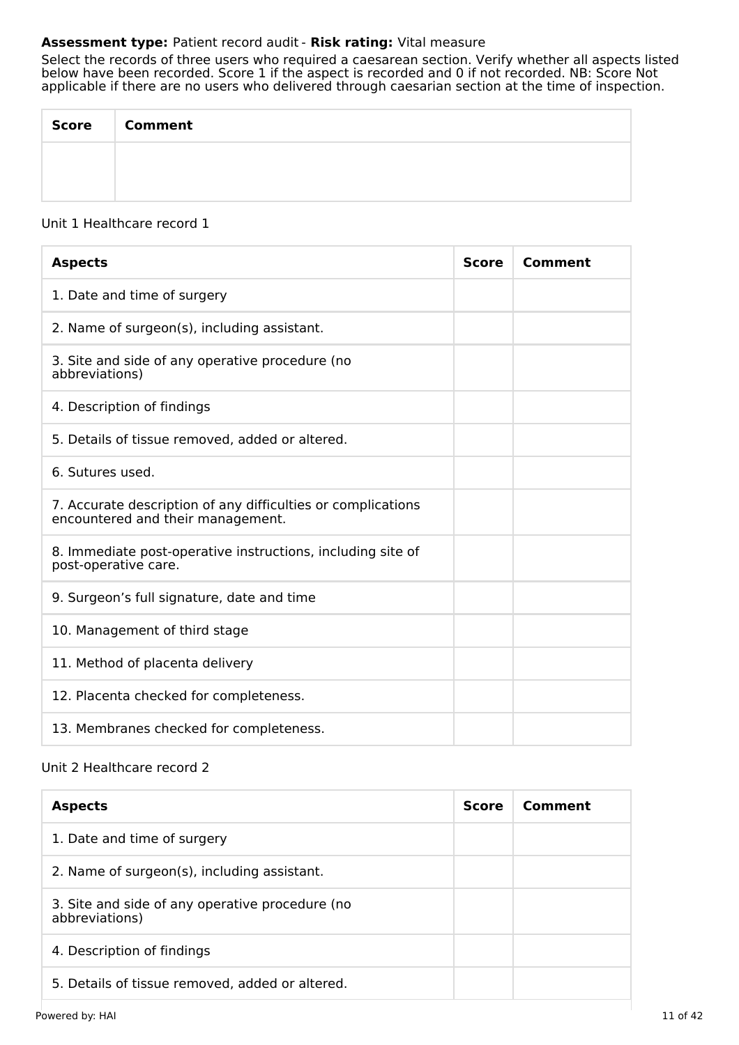## **Assessment type:** Patient record audit - **Risk rating:** Vital measure

Select the records of three users who required a caesarean section. Verify whether all aspects listed below have been recorded. Score 1 if the aspect is recorded and 0 if not recorded. NB: Score Not applicable if there are no users who delivered through caesarian section at the time of inspection.

| <b>Score</b> | <b>Comment</b> |
|--------------|----------------|
|              |                |
|              |                |

#### Unit 1 Healthcare record 1

| <b>Aspects</b>                                                                                    | <b>Score</b> | Comment |
|---------------------------------------------------------------------------------------------------|--------------|---------|
| 1. Date and time of surgery                                                                       |              |         |
| 2. Name of surgeon(s), including assistant.                                                       |              |         |
| 3. Site and side of any operative procedure (no<br>abbreviations)                                 |              |         |
| 4. Description of findings                                                                        |              |         |
| 5. Details of tissue removed, added or altered.                                                   |              |         |
| 6. Sutures used.                                                                                  |              |         |
| 7. Accurate description of any difficulties or complications<br>encountered and their management. |              |         |
| 8. Immediate post-operative instructions, including site of<br>post-operative care.               |              |         |
| 9. Surgeon's full signature, date and time                                                        |              |         |
| 10. Management of third stage                                                                     |              |         |
| 11. Method of placenta delivery                                                                   |              |         |
| 12. Placenta checked for completeness.                                                            |              |         |
| 13. Membranes checked for completeness.                                                           |              |         |

## Unit 2 Healthcare record 2

| <b>Aspects</b>                                                    | <b>Score</b> | Comment |
|-------------------------------------------------------------------|--------------|---------|
| 1. Date and time of surgery                                       |              |         |
| 2. Name of surgeon(s), including assistant.                       |              |         |
| 3. Site and side of any operative procedure (no<br>abbreviations) |              |         |
| 4. Description of findings                                        |              |         |
| 5. Details of tissue removed, added or altered.                   |              |         |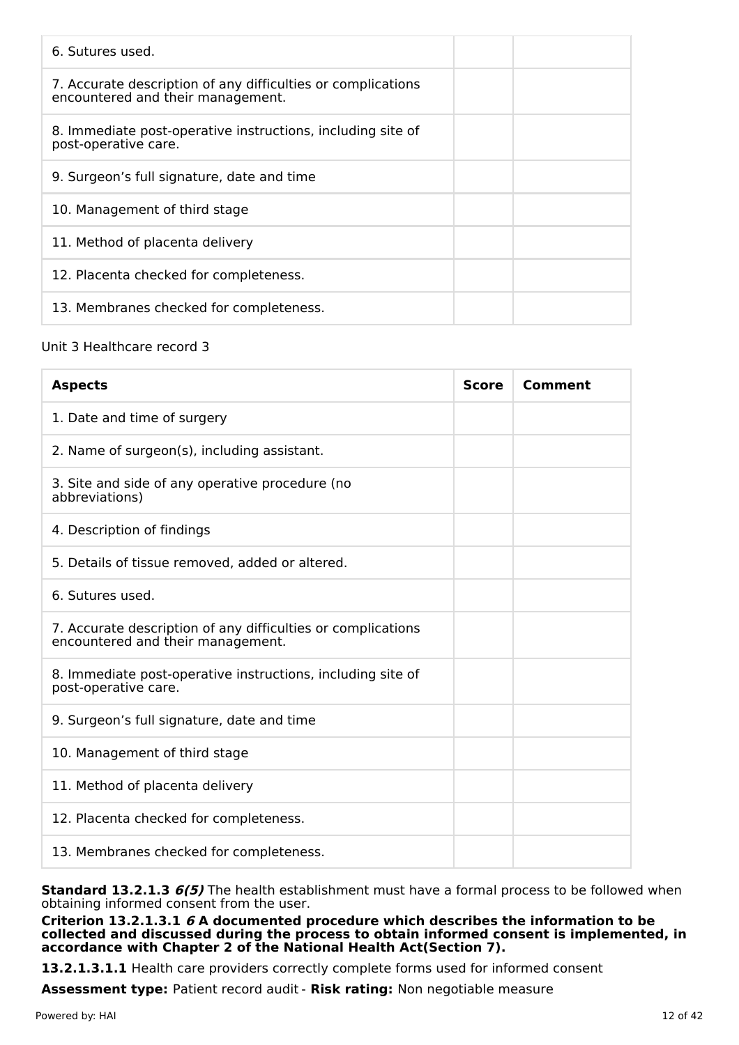| 6. Sutures used.                                                                                  |  |
|---------------------------------------------------------------------------------------------------|--|
| 7. Accurate description of any difficulties or complications<br>encountered and their management. |  |
| 8. Immediate post-operative instructions, including site of<br>post-operative care.               |  |
| 9. Surgeon's full signature, date and time                                                        |  |
| 10. Management of third stage                                                                     |  |
| 11. Method of placenta delivery                                                                   |  |
| 12. Placenta checked for completeness.                                                            |  |
| 13. Membranes checked for completeness.                                                           |  |

## Unit 3 Healthcare record 3

| <b>Aspects</b>                                                                                    | <b>Score</b> | Comment |
|---------------------------------------------------------------------------------------------------|--------------|---------|
| 1. Date and time of surgery                                                                       |              |         |
| 2. Name of surgeon(s), including assistant.                                                       |              |         |
| 3. Site and side of any operative procedure (no<br>abbreviations)                                 |              |         |
| 4. Description of findings                                                                        |              |         |
| 5. Details of tissue removed, added or altered.                                                   |              |         |
| 6. Sutures used.                                                                                  |              |         |
| 7. Accurate description of any difficulties or complications<br>encountered and their management. |              |         |
| 8. Immediate post-operative instructions, including site of<br>post-operative care.               |              |         |
| 9. Surgeon's full signature, date and time                                                        |              |         |
| 10. Management of third stage                                                                     |              |         |
| 11. Method of placenta delivery                                                                   |              |         |
| 12. Placenta checked for completeness.                                                            |              |         |
| 13. Membranes checked for completeness.                                                           |              |         |

**Standard 13.2.1.3 6(5)** The health establishment must have a formal process to be followed when obtaining informed consent from the user.

**Criterion 13.2.1.3.1 6 A documented procedure which describes the information to be collected and discussed during the process to obtain informed consent is implemented, in accordance with Chapter 2 of the National Health Act(Section 7).**

**13.2.1.3.1.1** Health care providers correctly complete forms used for informed consent

**Assessment type:** Patient record audit - **Risk rating:** Non negotiable measure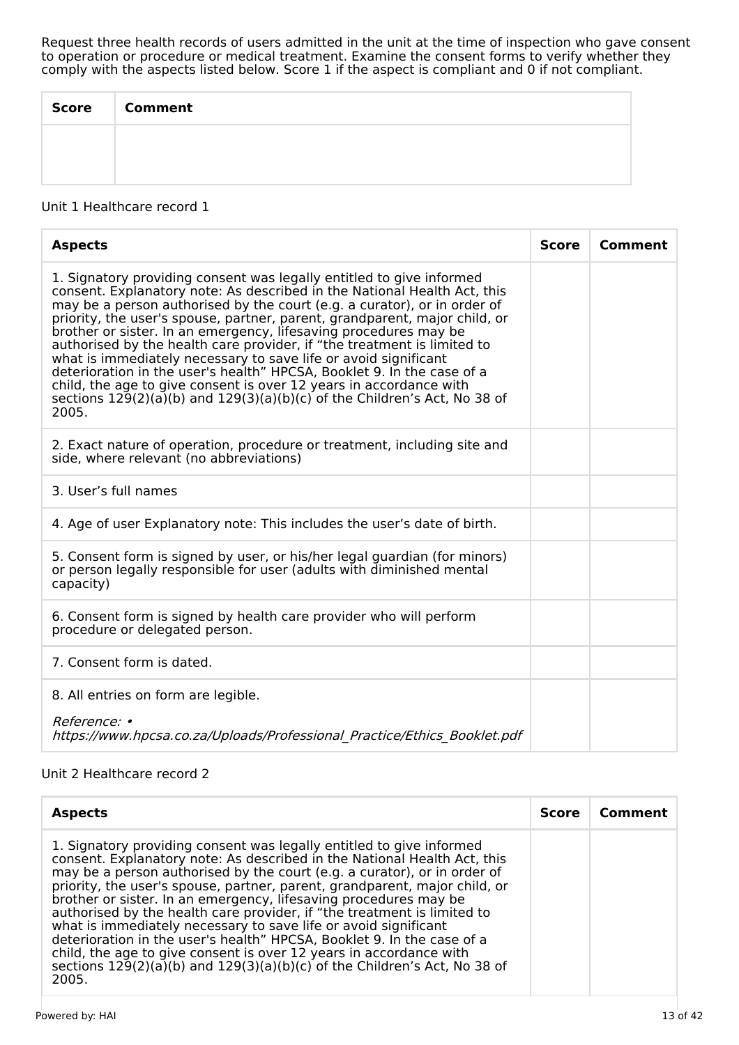Request three health records of users admitted in the unit at the time of inspection who gave consent to operation or procedure or medical treatment. Examine the consent forms to verify whether they comply with the aspects listed below. Score 1 if the aspect is compliant and 0 if not compliant.

| <b>Score</b> | <b>Comment</b> |
|--------------|----------------|
|              |                |
|              |                |

#### Unit 1 Healthcare record 1

| <b>Aspects</b>                                                                                                                                                                                                                                                                                                                                                                                                                                                                                                                                                                                                                                                                                                                                                         | <b>Score</b> | Comment |
|------------------------------------------------------------------------------------------------------------------------------------------------------------------------------------------------------------------------------------------------------------------------------------------------------------------------------------------------------------------------------------------------------------------------------------------------------------------------------------------------------------------------------------------------------------------------------------------------------------------------------------------------------------------------------------------------------------------------------------------------------------------------|--------------|---------|
| 1. Signatory providing consent was legally entitled to give informed<br>consent. Explanatory note: As described in the National Health Act, this<br>may be a person authorised by the court (e.g. a curator), or in order of<br>priority, the user's spouse, partner, parent, grandparent, major child, or<br>brother or sister. In an emergency, lifesaving procedures may be<br>authorised by the health care provider, if "the treatment is limited to<br>what is immediately necessary to save life or avoid significant<br>deterioration in the user's health" HPCSA, Booklet 9. In the case of a<br>child, the age to give consent is over 12 years in accordance with<br>sections $129(2)(a)(b)$ and $129(3)(a)(b)(c)$ of the Children's Act, No 38 of<br>2005. |              |         |
| 2. Exact nature of operation, procedure or treatment, including site and<br>side, where relevant (no abbreviations)                                                                                                                                                                                                                                                                                                                                                                                                                                                                                                                                                                                                                                                    |              |         |
| 3. User's full names                                                                                                                                                                                                                                                                                                                                                                                                                                                                                                                                                                                                                                                                                                                                                   |              |         |
| 4. Age of user Explanatory note: This includes the user's date of birth.                                                                                                                                                                                                                                                                                                                                                                                                                                                                                                                                                                                                                                                                                               |              |         |
| 5. Consent form is signed by user, or his/her legal guardian (for minors)<br>or person legally responsible for user (adults with diminished mental<br>capacity)                                                                                                                                                                                                                                                                                                                                                                                                                                                                                                                                                                                                        |              |         |
| 6. Consent form is signed by health care provider who will perform<br>procedure or delegated person.                                                                                                                                                                                                                                                                                                                                                                                                                                                                                                                                                                                                                                                                   |              |         |
| 7. Consent form is dated.                                                                                                                                                                                                                                                                                                                                                                                                                                                                                                                                                                                                                                                                                                                                              |              |         |
| 8. All entries on form are legible.                                                                                                                                                                                                                                                                                                                                                                                                                                                                                                                                                                                                                                                                                                                                    |              |         |
| Reference: •<br>https://www.hpcsa.co.za/Uploads/Professional Practice/Ethics Booklet.pdf                                                                                                                                                                                                                                                                                                                                                                                                                                                                                                                                                                                                                                                                               |              |         |

## Unit 2 Healthcare record 2

| <b>Aspects</b>                                                                                                                                                                                                                                                                                                                                                                                                                                                                                                                                                                                                                                                                                                                                                     | <b>Score</b> | Comment |
|--------------------------------------------------------------------------------------------------------------------------------------------------------------------------------------------------------------------------------------------------------------------------------------------------------------------------------------------------------------------------------------------------------------------------------------------------------------------------------------------------------------------------------------------------------------------------------------------------------------------------------------------------------------------------------------------------------------------------------------------------------------------|--------------|---------|
| 1. Signatory providing consent was legally entitled to give informed<br>consent. Explanatory note: As described in the National Health Act, this<br>may be a person authorised by the court (e.g. a curator), or in order of<br>priority, the user's spouse, partner, parent, grandparent, major child, or<br>brother or sister. In an emergency, lifesaving procedures may be<br>authorised by the health care provider, if "the treatment is limited to<br>what is immediately necessary to save life or avoid significant<br>deterioration in the user's health" HPCSA, Booklet 9. In the case of a<br>child, the age to give consent is over 12 years in accordance with<br>sections 129(2)(a)(b) and 129(3)(a)(b)(c) of the Children's Act, No 38 of<br>2005. |              |         |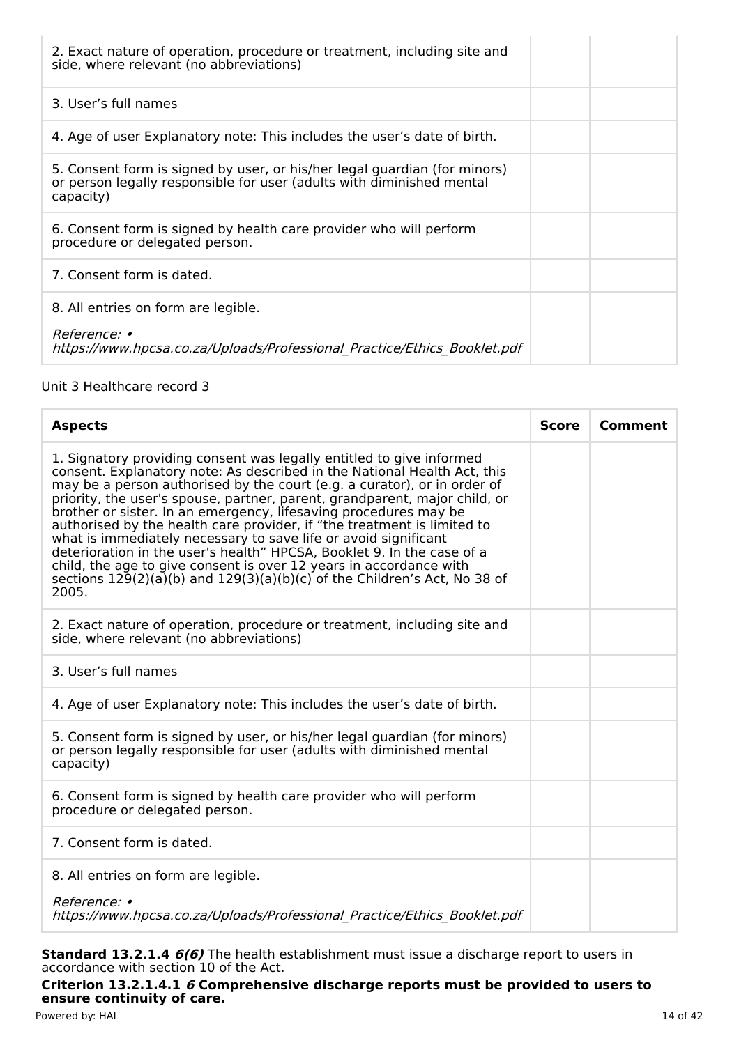| 2. Exact nature of operation, procedure or treatment, including site and<br>side, where relevant (no abbreviations)                                             |  |
|-----------------------------------------------------------------------------------------------------------------------------------------------------------------|--|
| 3. User's full names                                                                                                                                            |  |
| 4. Age of user Explanatory note: This includes the user's date of birth.                                                                                        |  |
| 5. Consent form is signed by user, or his/her legal guardian (for minors)<br>or person legally responsible for user (adults with diminished mental<br>capacity) |  |
| 6. Consent form is signed by health care provider who will perform<br>procedure or delegated person.                                                            |  |
| 7. Consent form is dated.                                                                                                                                       |  |
| 8. All entries on form are legible.                                                                                                                             |  |
| <i>Reference:</i> •<br>https://www.hpcsa.co.za/Uploads/Professional Practice/Ethics Booklet.pdf                                                                 |  |

## Unit 3 Healthcare record 3

| <b>Aspects</b>                                                                                                                                                                                                                                                                                                                                                                                                                                                                                                                                                                                                                                                                                                                                                         | <b>Score</b> | Comment |
|------------------------------------------------------------------------------------------------------------------------------------------------------------------------------------------------------------------------------------------------------------------------------------------------------------------------------------------------------------------------------------------------------------------------------------------------------------------------------------------------------------------------------------------------------------------------------------------------------------------------------------------------------------------------------------------------------------------------------------------------------------------------|--------------|---------|
| 1. Signatory providing consent was legally entitled to give informed<br>consent. Explanatory note: As described in the National Health Act, this<br>may be a person authorised by the court (e.g. a curator), or in order of<br>priority, the user's spouse, partner, parent, grandparent, major child, or<br>brother or sister. In an emergency, lifesaving procedures may be<br>authorised by the health care provider, if "the treatment is limited to<br>what is immediately necessary to save life or avoid significant<br>deterioration in the user's health" HPCSA, Booklet 9. In the case of a<br>child, the age to give consent is over 12 years in accordance with<br>sections $129(2)(a)(b)$ and $129(3)(a)(b)(c)$ of the Children's Act, No 38 of<br>2005. |              |         |
| 2. Exact nature of operation, procedure or treatment, including site and<br>side, where relevant (no abbreviations)                                                                                                                                                                                                                                                                                                                                                                                                                                                                                                                                                                                                                                                    |              |         |
| 3. User's full names                                                                                                                                                                                                                                                                                                                                                                                                                                                                                                                                                                                                                                                                                                                                                   |              |         |
| 4. Age of user Explanatory note: This includes the user's date of birth.                                                                                                                                                                                                                                                                                                                                                                                                                                                                                                                                                                                                                                                                                               |              |         |
| 5. Consent form is signed by user, or his/her legal guardian (for minors)<br>or person legally responsible for user (adults with diminished mental<br>capacity)                                                                                                                                                                                                                                                                                                                                                                                                                                                                                                                                                                                                        |              |         |
| 6. Consent form is signed by health care provider who will perform<br>procedure or delegated person.                                                                                                                                                                                                                                                                                                                                                                                                                                                                                                                                                                                                                                                                   |              |         |
| 7. Consent form is dated.                                                                                                                                                                                                                                                                                                                                                                                                                                                                                                                                                                                                                                                                                                                                              |              |         |
| 8. All entries on form are legible.                                                                                                                                                                                                                                                                                                                                                                                                                                                                                                                                                                                                                                                                                                                                    |              |         |
| Reference: •<br>https://www.hpcsa.co.za/Uploads/Professional Practice/Ethics Booklet.pdf                                                                                                                                                                                                                                                                                                                                                                                                                                                                                                                                                                                                                                                                               |              |         |

**Standard 13.2.1.4 6(6)** The health establishment must issue a discharge report to users in accordance with section 10 of the Act.

**Criterion 13.2.1.4.1 6 Comprehensive discharge reports must be provided to users to ensure continuity of care.** Powered by: HAI 14 of 42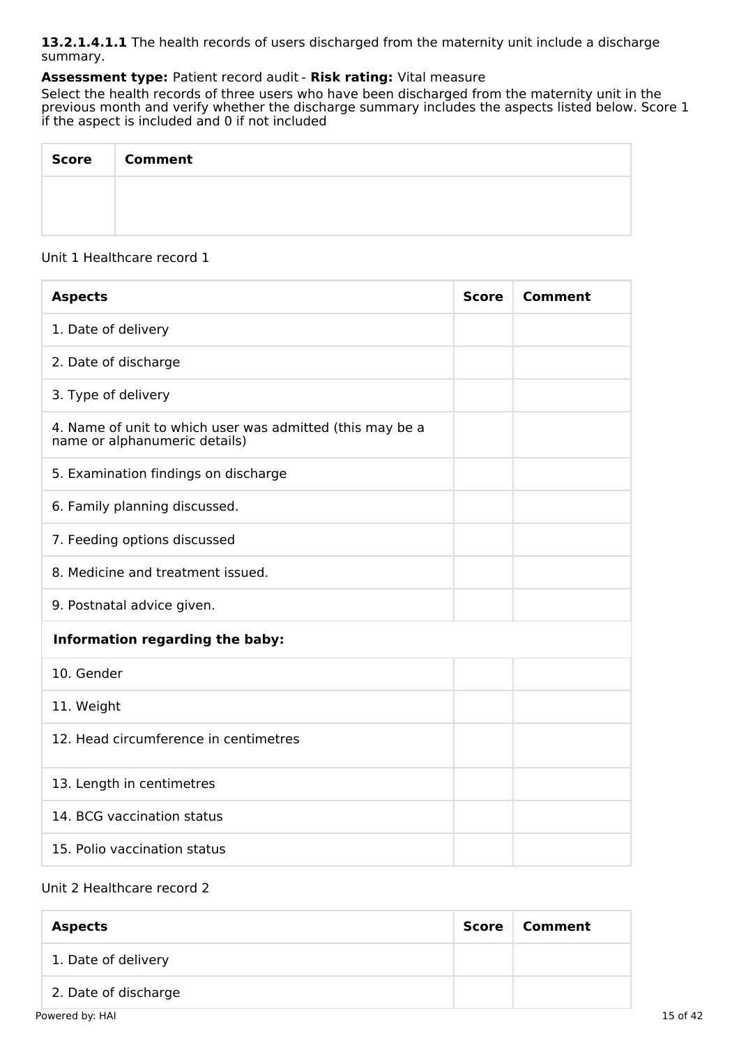**13.2.1.4.1.1** The health records of users discharged from the maternity unit include a discharge summary.

## **Assessment type:** Patient record audit - **Risk rating:** Vital measure

Select the health records of three users who have been discharged from the maternity unit in the previous month and verify whether the discharge summary includes the aspects listed below. Score 1 if the aspect is included and 0 if not included

| Score   Comment |
|-----------------|
|                 |
|                 |

## Unit 1 Healthcare record 1

| <b>Aspects</b>                                                                             | <b>Score</b> | <b>Comment</b> |
|--------------------------------------------------------------------------------------------|--------------|----------------|
| 1. Date of delivery                                                                        |              |                |
| 2. Date of discharge                                                                       |              |                |
| 3. Type of delivery                                                                        |              |                |
| 4. Name of unit to which user was admitted (this may be a<br>name or alphanumeric details) |              |                |
| 5. Examination findings on discharge                                                       |              |                |
| 6. Family planning discussed.                                                              |              |                |
| 7. Feeding options discussed                                                               |              |                |
| 8. Medicine and treatment issued.                                                          |              |                |
| 9. Postnatal advice given.                                                                 |              |                |
| Information regarding the baby:                                                            |              |                |
| 10. Gender                                                                                 |              |                |
| 11. Weight                                                                                 |              |                |
| 12. Head circumference in centimetres                                                      |              |                |
| 13. Length in centimetres                                                                  |              |                |
| 14. BCG vaccination status                                                                 |              |                |
| 15. Polio vaccination status                                                               |              |                |

#### Unit 2 Healthcare record 2

| <b>Aspects</b>       | Score | Comment |
|----------------------|-------|---------|
| 1. Date of delivery  |       |         |
| 2. Date of discharge |       |         |
| Powered by: HAI      |       |         |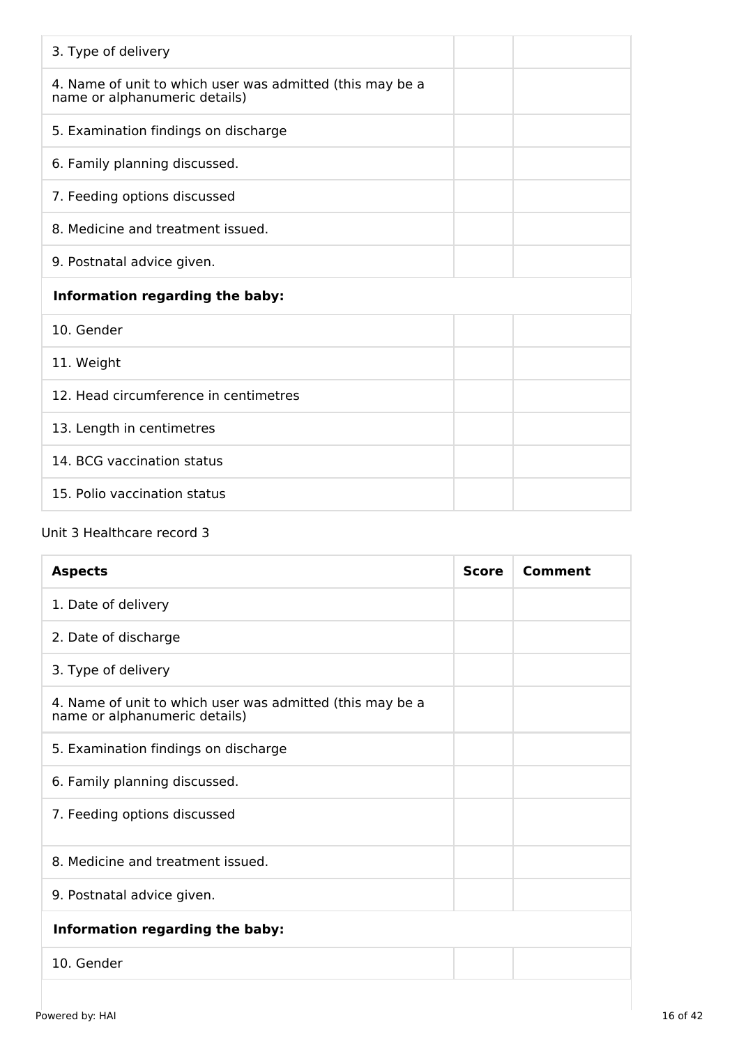| 3. Type of delivery                                                                        |  |  |
|--------------------------------------------------------------------------------------------|--|--|
| 4. Name of unit to which user was admitted (this may be a<br>name or alphanumeric details) |  |  |
| 5. Examination findings on discharge                                                       |  |  |
| 6. Family planning discussed.                                                              |  |  |
| 7. Feeding options discussed                                                               |  |  |
| 8. Medicine and treatment issued.                                                          |  |  |
| 9. Postnatal advice given.                                                                 |  |  |
| Information regarding the baby:                                                            |  |  |
|                                                                                            |  |  |
| 10. Gender                                                                                 |  |  |
| 11. Weight                                                                                 |  |  |
| 12. Head circumference in centimetres                                                      |  |  |
| 13. Length in centimetres                                                                  |  |  |
| 14. BCG vaccination status                                                                 |  |  |

## Unit 3 Healthcare record 3

| <b>Aspects</b>                                                                             | <b>Score</b> | Comment |
|--------------------------------------------------------------------------------------------|--------------|---------|
| 1. Date of delivery                                                                        |              |         |
| 2. Date of discharge                                                                       |              |         |
| 3. Type of delivery                                                                        |              |         |
| 4. Name of unit to which user was admitted (this may be a<br>name or alphanumeric details) |              |         |
| 5. Examination findings on discharge                                                       |              |         |
| 6. Family planning discussed.                                                              |              |         |
| 7. Feeding options discussed                                                               |              |         |
| 8. Medicine and treatment issued.                                                          |              |         |
| 9. Postnatal advice given.                                                                 |              |         |
| Information regarding the baby:                                                            |              |         |
| 10. Gender                                                                                 |              |         |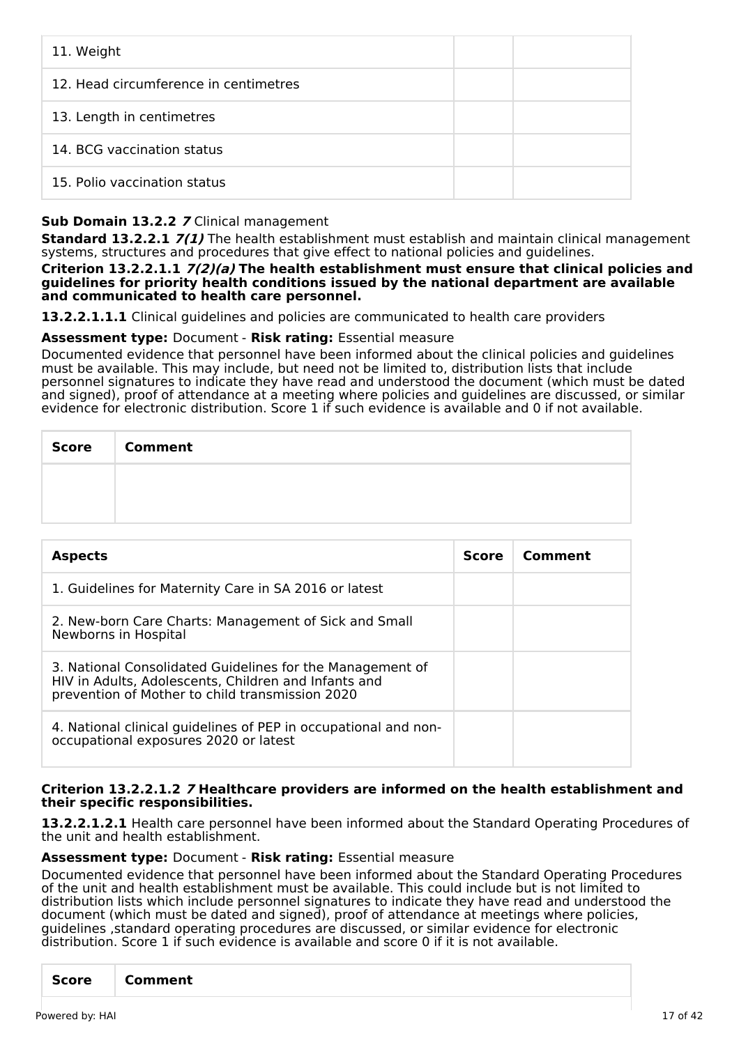| 11. Weight                            |  |
|---------------------------------------|--|
| 12. Head circumference in centimetres |  |
| 13. Length in centimetres             |  |
| 14. BCG vaccination status            |  |
| 15. Polio vaccination status          |  |

## **Sub Domain 13.2.2 7** Clinical management

**Standard 13.2.2.1 7(1)** The health establishment must establish and maintain clinical management systems, structures and procedures that give effect to national policies and guidelines.

**Criterion 13.2.2.1.1 7(2)(a) The health establishment must ensure that clinical policies and guidelines for priority health conditions issued by the national department are available and communicated to health care personnel.**

**13.2.2.1.1.1** Clinical guidelines and policies are communicated to health care providers

### **Assessment type:** Document - **Risk rating:** Essential measure

Documented evidence that personnel have been informed about the clinical policies and guidelines must be available. This may include, but need not be limited to, distribution lists that include personnel signatures to indicate they have read and understood the document (which must be dated and signed), proof of attendance at a meeting where policies and guidelines are discussed, or similar evidence for electronic distribution. Score 1 if such evidence is available and 0 if not available.

| <b>Score</b> | <b>Comment</b> |
|--------------|----------------|
|              |                |
|              |                |

| <b>Aspects</b>                                                                                                                                                       | Score | Comment |
|----------------------------------------------------------------------------------------------------------------------------------------------------------------------|-------|---------|
| 1. Guidelines for Maternity Care in SA 2016 or latest                                                                                                                |       |         |
| 2. New-born Care Charts: Management of Sick and Small<br>Newborns in Hospital                                                                                        |       |         |
| 3. National Consolidated Guidelines for the Management of<br>HIV in Adults, Adolescents, Children and Infants and<br>prevention of Mother to child transmission 2020 |       |         |
| 4. National clinical guidelines of PEP in occupational and non-<br>occupational exposures 2020 or latest                                                             |       |         |

#### **Criterion 13.2.2.1.2 7 Healthcare providers are informed on the health establishment and their specific responsibilities.**

**13.2.2.1.2.1** Health care personnel have been informed about the Standard Operating Procedures of the unit and health establishment.

#### **Assessment type:** Document - **Risk rating:** Essential measure

Documented evidence that personnel have been informed about the Standard Operating Procedures of the unit and health establishment must be available. This could include but is not limited to distribution lists which include personnel signatures to indicate they have read and understood the document (which must be dated and signed), proof of attendance at meetings where policies, guidelines ,standard operating procedures are discussed, or similar evidence for electronic distribution. Score 1 if such evidence is available and score 0 if it is not available.

| Comment<br><b>Score</b> |
|-------------------------|
|-------------------------|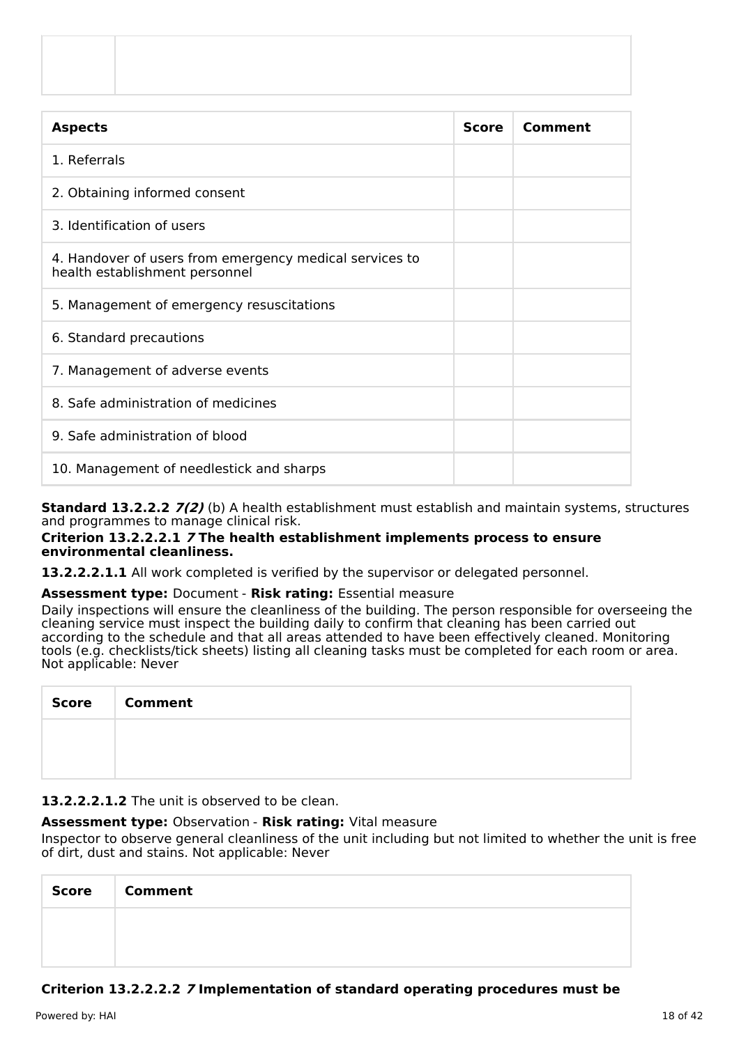| <b>Aspects</b>                                                                            | <b>Score</b> | Comment |
|-------------------------------------------------------------------------------------------|--------------|---------|
| 1. Referrals                                                                              |              |         |
| 2. Obtaining informed consent                                                             |              |         |
| 3. Identification of users                                                                |              |         |
| 4. Handover of users from emergency medical services to<br>health establishment personnel |              |         |
| 5. Management of emergency resuscitations                                                 |              |         |
| 6. Standard precautions                                                                   |              |         |
| 7. Management of adverse events                                                           |              |         |
| 8. Safe administration of medicines                                                       |              |         |
| 9. Safe administration of blood                                                           |              |         |
| 10. Management of needlestick and sharps                                                  |              |         |

**Standard 13.2.2.2 7(2)** (b) A health establishment must establish and maintain systems, structures and programmes to manage clinical risk.

#### **Criterion 13.2.2.2.1 7 The health establishment implements process to ensure environmental cleanliness.**

13.2.2.2.1.1 All work completed is verified by the supervisor or delegated personnel.

## **Assessment type:** Document - **Risk rating:** Essential measure

Daily inspections will ensure the cleanliness of the building. The person responsible for overseeing the cleaning service must inspect the building daily to confirm that cleaning has been carried out according to the schedule and that all areas attended to have been effectively cleaned. Monitoring tools (e.g. checklists/tick sheets) listing all cleaning tasks must be completed for each room or area. Not applicable: Never

| <b>Score</b> | <b>Comment</b> |
|--------------|----------------|
|              |                |
|              |                |

## **13.2.2.2.1.2** The unit is observed to be clean.

## **Assessment type:** Observation - **Risk rating:** Vital measure

Inspector to observe general cleanliness of the unit including but not limited to whether the unit is free of dirt, dust and stains. Not applicable: Never

| Score | <b>Comment</b> |
|-------|----------------|
|       |                |
|       |                |

## **Criterion 13.2.2.2.2 7 Implementation of standard operating procedures must be**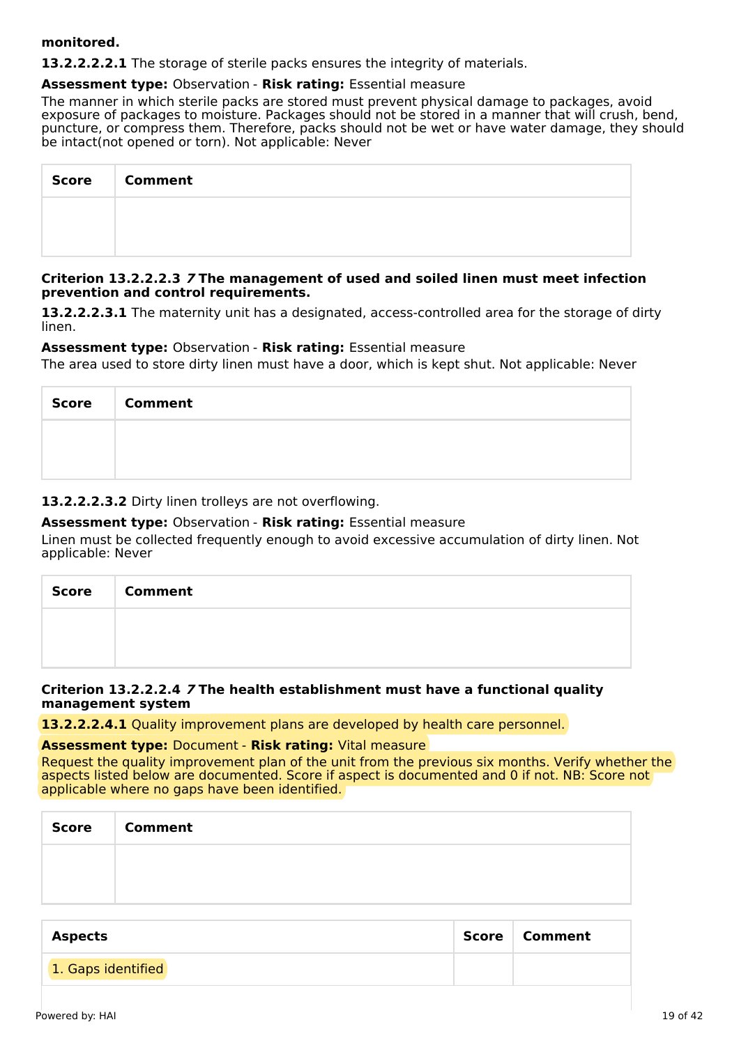#### **monitored.**

**13.2.2.2.2.1** The storage of sterile packs ensures the integrity of materials.

#### **Assessment type:** Observation - **Risk rating:** Essential measure

The manner in which sterile packs are stored must prevent physical damage to packages, avoid exposure of packages to moisture. Packages should not be stored in a manner that will crush, bend, puncture, or compress them. Therefore, packs should not be wet or have water damage, they should be intact(not opened or torn). Not applicable: Never

| <b>Score</b> | <b>Comment</b> |
|--------------|----------------|
|              |                |
|              |                |

#### **Criterion 13.2.2.2.3 7 The management of used and soiled linen must meet infection prevention and control requirements.**

**13.2.2.2.3.1** The maternity unit has a designated, access-controlled area for the storage of dirty linen.

### **Assessment type:** Observation - **Risk rating:** Essential measure

The area used to store dirty linen must have a door, which is kept shut. Not applicable: Never

| <b>Score</b> | <b>Comment</b> |
|--------------|----------------|
|              |                |
|              |                |

## **13.2.2.2.3.2** Dirty linen trolleys are not overflowing.

### **Assessment type:** Observation - **Risk rating:** Essential measure

Linen must be collected frequently enough to avoid excessive accumulation of dirty linen. Not applicable: Never

| Score Comment |
|---------------|
|               |
|               |

#### **Criterion 13.2.2.2.4 7 The health establishment must have a functional quality management system**

**13.2.2.2.4.1** Quality improvement plans are developed by health care personnel.

#### **Assessment type:** Document - **Risk rating:** Vital measure

Request the quality improvement plan of the unit from the previous six months. Verify whether the aspects listed below are documented. Score if aspect is documented and 0 if not. NB: Score not applicable where no gaps have been identified.

| Score | <b>Comment</b> |
|-------|----------------|
|       |                |
|       |                |

| Aspects            | Score   Comment |
|--------------------|-----------------|
| 1. Gaps identified |                 |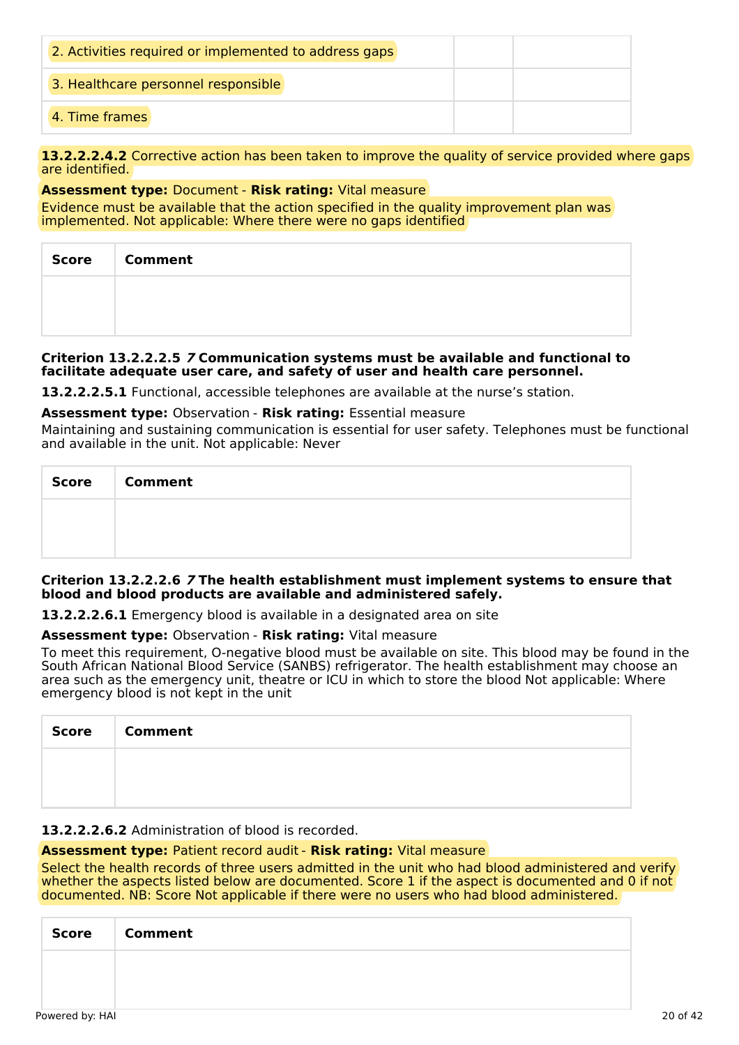| 2. Activities required or implemented to address gaps |  |
|-------------------------------------------------------|--|
| 3. Healthcare personnel responsible                   |  |
| 4. Time frames                                        |  |

13.2.2.2.4.2 Corrective action has been taken to improve the quality of service provided where gaps are identified.

## **Assessment type:** Document - **Risk rating:** Vital measure

Evidence must be available that the action specified in the quality improvement plan was implemented. Not applicable: Where there were no gaps identified

| Score   Comment |
|-----------------|
|                 |
|                 |

#### **Criterion 13.2.2.2.5 7 Communication systems must be available and functional to facilitate adequate user care, and safety of user and health care personnel.**

**13.2.2.2.5.1** Functional, accessible telephones are available at the nurse's station.

#### **Assessment type:** Observation - **Risk rating:** Essential measure

Maintaining and sustaining communication is essential for user safety. Telephones must be functional and available in the unit. Not applicable: Never

| <b>Score</b> | <b>Comment</b> |
|--------------|----------------|
|              |                |
|              |                |

#### **Criterion 13.2.2.2.6 7 The health establishment must implement systems to ensure that blood and blood products are available and administered safely.**

**13.2.2.2.6.1** Emergency blood is available in a designated area on site

#### **Assessment type:** Observation - **Risk rating:** Vital measure

To meet this requirement, O-negative blood must be available on site. This blood may be found in the South African National Blood Service (SANBS) refrigerator. The health establishment may choose an area such as the emergency unit, theatre or ICU in which to store the blood Not applicable: Where emergency blood is not kept in the unit

| Score | <b>Comment</b> |
|-------|----------------|
|       |                |
|       |                |

## **13.2.2.2.6.2** Administration of blood is recorded.

#### **Assessment type:** Patient record audit - **Risk rating:** Vital measure

Select the health records of three users admitted in the unit who had blood administered and verify whether the aspects listed below are documented. Score 1 if the aspect is documented and 0 if not documented. NB: Score Not applicable if there were no users who had blood administered.

| <b>Score</b> | <b>Comment</b> |
|--------------|----------------|
|              |                |
|              |                |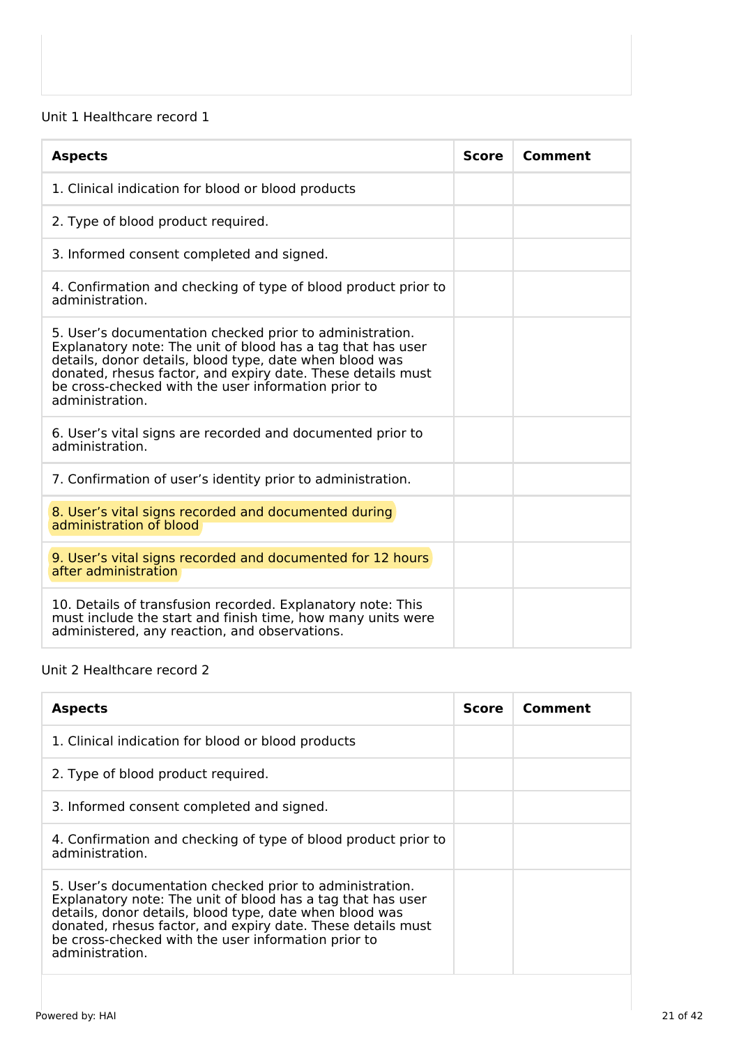## Unit 1 Healthcare record 1

| <b>Aspects</b>                                                                                                                                                                                                                                                                                                              | <b>Score</b> | Comment |
|-----------------------------------------------------------------------------------------------------------------------------------------------------------------------------------------------------------------------------------------------------------------------------------------------------------------------------|--------------|---------|
| 1. Clinical indication for blood or blood products                                                                                                                                                                                                                                                                          |              |         |
| 2. Type of blood product required.                                                                                                                                                                                                                                                                                          |              |         |
| 3. Informed consent completed and signed.                                                                                                                                                                                                                                                                                   |              |         |
| 4. Confirmation and checking of type of blood product prior to<br>administration.                                                                                                                                                                                                                                           |              |         |
| 5. User's documentation checked prior to administration.<br>Explanatory note: The unit of blood has a tag that has user<br>details, donor details, blood type, date when blood was<br>donated, rhesus factor, and expiry date. These details must<br>be cross-checked with the user information prior to<br>administration. |              |         |
| 6. User's vital signs are recorded and documented prior to<br>administration.                                                                                                                                                                                                                                               |              |         |
| 7. Confirmation of user's identity prior to administration.                                                                                                                                                                                                                                                                 |              |         |
| 8. User's vital signs recorded and documented during<br>administration of blood                                                                                                                                                                                                                                             |              |         |
| 9. User's vital signs recorded and documented for 12 hours<br>after administration                                                                                                                                                                                                                                          |              |         |
| 10. Details of transfusion recorded. Explanatory note: This<br>must include the start and finish time, how many units were<br>administered, any reaction, and observations.                                                                                                                                                 |              |         |

### Unit 2 Healthcare record 2

| <b>Aspects</b>                                                                                                                                                                                                                                                                                                              | <b>Score</b> | Comment |
|-----------------------------------------------------------------------------------------------------------------------------------------------------------------------------------------------------------------------------------------------------------------------------------------------------------------------------|--------------|---------|
| 1. Clinical indication for blood or blood products                                                                                                                                                                                                                                                                          |              |         |
| 2. Type of blood product required.                                                                                                                                                                                                                                                                                          |              |         |
| 3. Informed consent completed and signed.                                                                                                                                                                                                                                                                                   |              |         |
| 4. Confirmation and checking of type of blood product prior to<br>administration.                                                                                                                                                                                                                                           |              |         |
| 5. User's documentation checked prior to administration.<br>Explanatory note: The unit of blood has a tag that has user<br>details, donor details, blood type, date when blood was<br>donated, rhesus factor, and expiry date. These details must<br>be cross-checked with the user information prior to<br>administration. |              |         |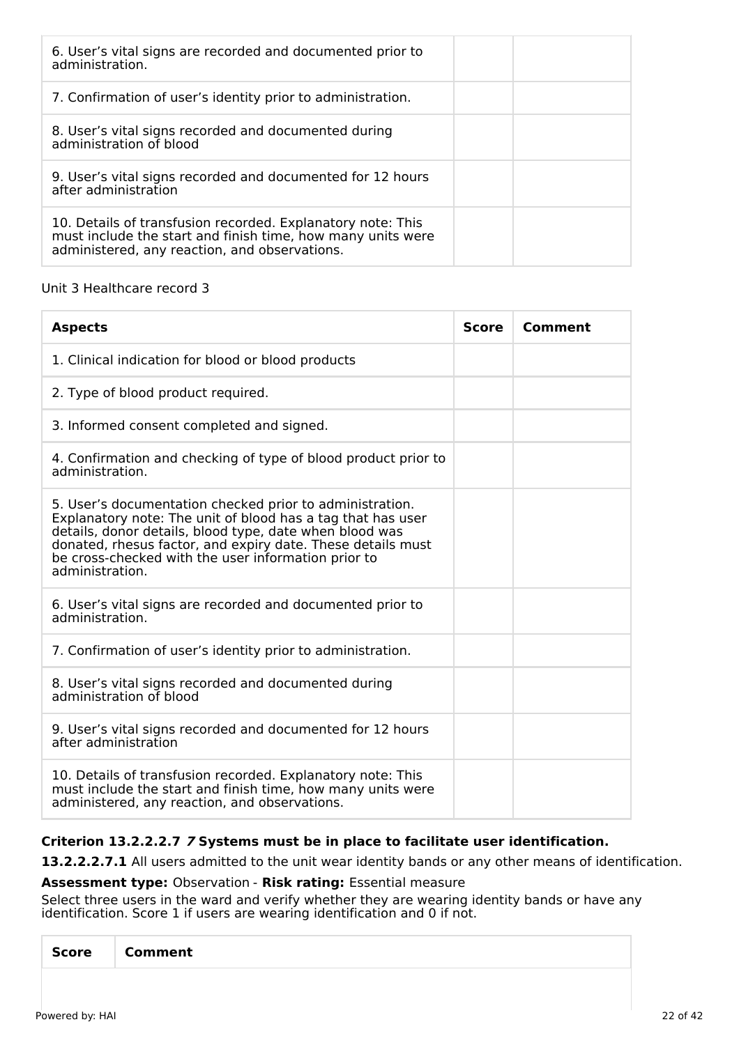| 6. User's vital signs are recorded and documented prior to<br>administration.                                                                                               |
|-----------------------------------------------------------------------------------------------------------------------------------------------------------------------------|
| 7. Confirmation of user's identity prior to administration.                                                                                                                 |
| 8. User's vital signs recorded and documented during<br>administration of blood                                                                                             |
| 9. User's vital signs recorded and documented for 12 hours<br>after administration                                                                                          |
| 10. Details of transfusion recorded. Explanatory note: This<br>must include the start and finish time, how many units were<br>administered, any reaction, and observations. |

## Unit 3 Healthcare record 3

| <b>Aspects</b>                                                                                                                                                                                                                                                                                                              | <b>Score</b> | Comment |
|-----------------------------------------------------------------------------------------------------------------------------------------------------------------------------------------------------------------------------------------------------------------------------------------------------------------------------|--------------|---------|
| 1. Clinical indication for blood or blood products                                                                                                                                                                                                                                                                          |              |         |
| 2. Type of blood product required.                                                                                                                                                                                                                                                                                          |              |         |
| 3. Informed consent completed and signed.                                                                                                                                                                                                                                                                                   |              |         |
| 4. Confirmation and checking of type of blood product prior to<br>administration.                                                                                                                                                                                                                                           |              |         |
| 5. User's documentation checked prior to administration.<br>Explanatory note: The unit of blood has a tag that has user<br>details, donor details, blood type, date when blood was<br>donated, rhesus factor, and expiry date. These details must<br>be cross-checked with the user information prior to<br>administration. |              |         |
| 6. User's vital signs are recorded and documented prior to<br>administration.                                                                                                                                                                                                                                               |              |         |
| 7. Confirmation of user's identity prior to administration.                                                                                                                                                                                                                                                                 |              |         |
| 8. User's vital signs recorded and documented during<br>administration of blood                                                                                                                                                                                                                                             |              |         |
| 9. User's vital signs recorded and documented for 12 hours<br>after administration                                                                                                                                                                                                                                          |              |         |
| 10. Details of transfusion recorded. Explanatory note: This<br>must include the start and finish time, how many units were<br>administered, any reaction, and observations.                                                                                                                                                 |              |         |

## **Criterion 13.2.2.2.7 7 Systems must be in place to facilitate user identification.**

**13.2.2.2.7.1** All users admitted to the unit wear identity bands or any other means of identification.

## **Assessment type:** Observation - **Risk rating:** Essential measure

Select three users in the ward and verify whether they are wearing identity bands or have any identification. Score 1 if users are wearing identification and 0 if not.

| <b>Score</b> | <b>Comment</b> |
|--------------|----------------|
|              |                |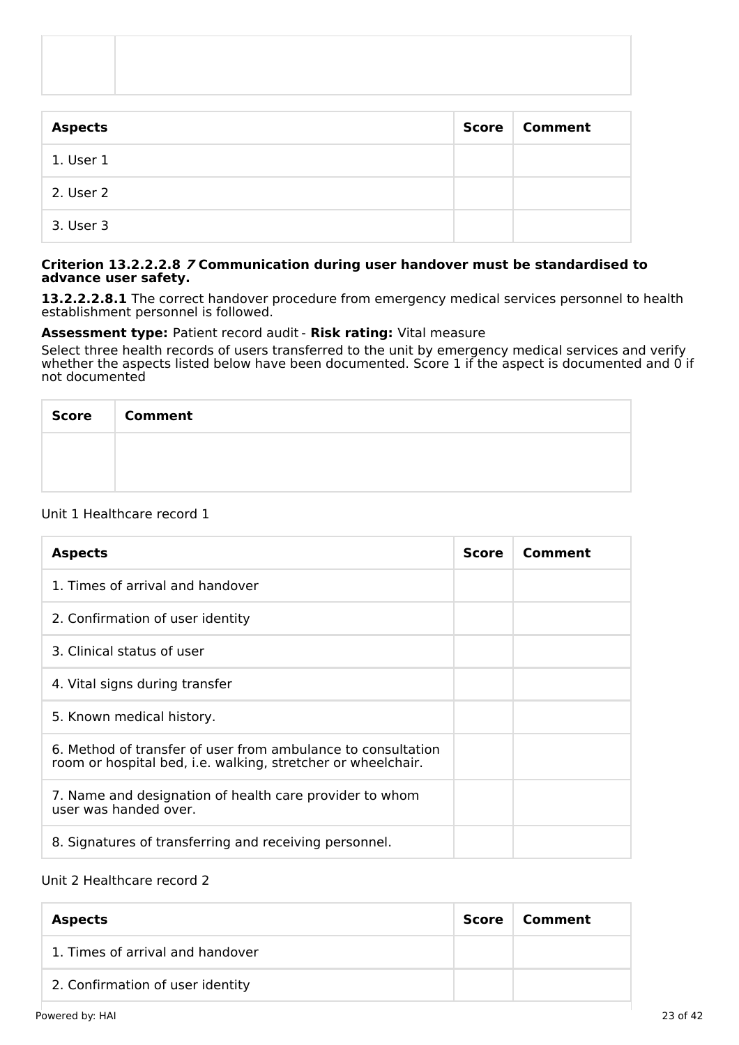| <b>Aspects</b> | Score | <b>Comment</b> |
|----------------|-------|----------------|
| 1. User 1      |       |                |
| 2. User 2      |       |                |
| 3. User 3      |       |                |

#### **Criterion 13.2.2.2.8 7 Communication during user handover must be standardised to advance user safety.**

**13.2.2.2.8.1** The correct handover procedure from emergency medical services personnel to health establishment personnel is followed.

## **Assessment type:** Patient record audit - **Risk rating:** Vital measure

Select three health records of users transferred to the unit by emergency medical services and verify whether the aspects listed below have been documented. Score 1 if the aspect is documented and 0 if not documented

| Score   Comment |
|-----------------|
|                 |
|                 |

## Unit 1 Healthcare record 1

| <b>Aspects</b>                                                                                                               | <b>Score</b> | Comment |
|------------------------------------------------------------------------------------------------------------------------------|--------------|---------|
| 1. Times of arrival and handover                                                                                             |              |         |
| 2. Confirmation of user identity                                                                                             |              |         |
| 3. Clinical status of user                                                                                                   |              |         |
| 4. Vital signs during transfer                                                                                               |              |         |
| 5. Known medical history.                                                                                                    |              |         |
| 6. Method of transfer of user from ambulance to consultation<br>room or hospital bed, i.e. walking, stretcher or wheelchair. |              |         |
| 7. Name and designation of health care provider to whom<br>user was handed over.                                             |              |         |
| 8. Signatures of transferring and receiving personnel.                                                                       |              |         |

## Unit 2 Healthcare record 2

| <b>Aspects</b>                   | Score | Comment |
|----------------------------------|-------|---------|
| 1. Times of arrival and handover |       |         |
| 2. Confirmation of user identity |       |         |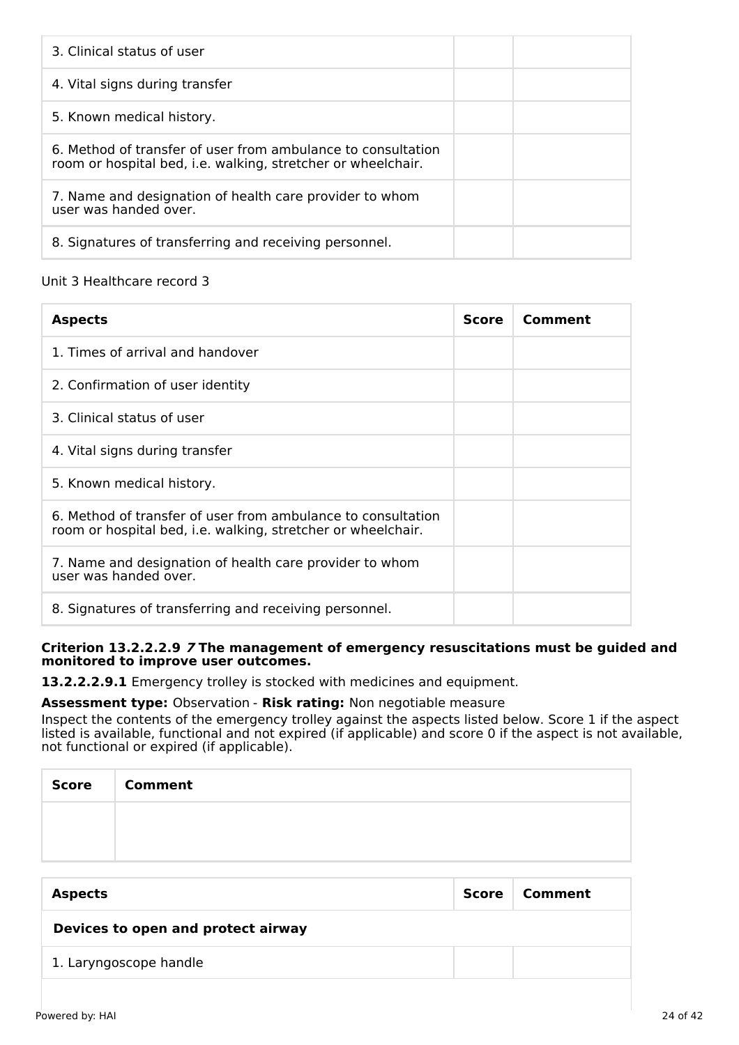| 3. Clinical status of user                                                                                                   |  |
|------------------------------------------------------------------------------------------------------------------------------|--|
| 4. Vital signs during transfer                                                                                               |  |
| 5. Known medical history.                                                                                                    |  |
| 6. Method of transfer of user from ambulance to consultation<br>room or hospital bed, i.e. walking, stretcher or wheelchair. |  |
| 7. Name and designation of health care provider to whom<br>user was handed over.                                             |  |
| 8. Signatures of transferring and receiving personnel.                                                                       |  |

# Unit 3 Healthcare record 3

| <b>Aspects</b>                                                                                                               | <b>Score</b> | Comment |
|------------------------------------------------------------------------------------------------------------------------------|--------------|---------|
| 1. Times of arrival and handover                                                                                             |              |         |
| 2. Confirmation of user identity                                                                                             |              |         |
| 3. Clinical status of user                                                                                                   |              |         |
| 4. Vital signs during transfer                                                                                               |              |         |
| 5. Known medical history.                                                                                                    |              |         |
| 6. Method of transfer of user from ambulance to consultation<br>room or hospital bed, i.e. walking, stretcher or wheelchair. |              |         |
| 7. Name and designation of health care provider to whom<br>user was handed over.                                             |              |         |
| 8. Signatures of transferring and receiving personnel.                                                                       |              |         |

### **Criterion 13.2.2.2.9 7 The management of emergency resuscitations must be guided and monitored to improve user outcomes.**

**13.2.2.2.9.1** Emergency trolley is stocked with medicines and equipment.

## **Assessment type:** Observation - **Risk rating:** Non negotiable measure

Inspect the contents of the emergency trolley against the aspects listed below. Score 1 if the aspect listed is available, functional and not expired (if applicable) and score 0 if the aspect is not available, not functional or expired (if applicable).

| <b>Score</b> | <b>Comment</b> |
|--------------|----------------|
|              |                |
|              |                |

| <b>Aspects</b>                     | Score | Comment |
|------------------------------------|-------|---------|
| Devices to open and protect airway |       |         |
| 1. Laryngoscope handle             |       |         |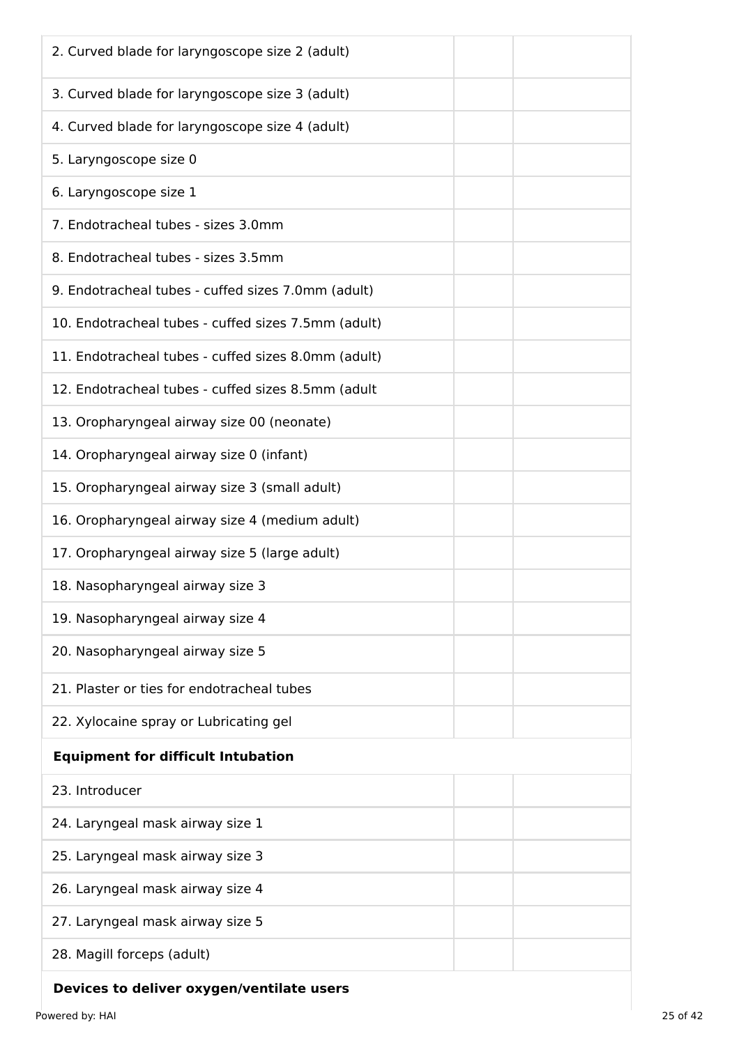| 3. Curved blade for laryngoscope size 3 (adult)<br>4. Curved blade for laryngoscope size 4 (adult)<br>5. Laryngoscope size 0<br>6. Laryngoscope size 1<br>7. Endotracheal tubes - sizes 3.0mm<br>8. Endotracheal tubes - sizes 3.5mm |
|--------------------------------------------------------------------------------------------------------------------------------------------------------------------------------------------------------------------------------------|
|                                                                                                                                                                                                                                      |
|                                                                                                                                                                                                                                      |
|                                                                                                                                                                                                                                      |
|                                                                                                                                                                                                                                      |
|                                                                                                                                                                                                                                      |
|                                                                                                                                                                                                                                      |
| 9. Endotracheal tubes - cuffed sizes 7.0mm (adult)                                                                                                                                                                                   |
| 10. Endotracheal tubes - cuffed sizes 7.5mm (adult)                                                                                                                                                                                  |
| 11. Endotracheal tubes - cuffed sizes 8.0mm (adult)                                                                                                                                                                                  |
| 12. Endotracheal tubes - cuffed sizes 8.5mm (adult                                                                                                                                                                                   |
| 13. Oropharyngeal airway size 00 (neonate)                                                                                                                                                                                           |
| 14. Oropharyngeal airway size 0 (infant)                                                                                                                                                                                             |
| 15. Oropharyngeal airway size 3 (small adult)                                                                                                                                                                                        |
| 16. Oropharyngeal airway size 4 (medium adult)                                                                                                                                                                                       |
| 17. Oropharyngeal airway size 5 (large adult)                                                                                                                                                                                        |
| 18. Nasopharyngeal airway size 3                                                                                                                                                                                                     |
| 19. Nasopharyngeal airway size 4                                                                                                                                                                                                     |
| 20. Nasopharyngeal airway size 5                                                                                                                                                                                                     |
| 21. Plaster or ties for endotracheal tubes                                                                                                                                                                                           |
| 22. Xylocaine spray or Lubricating gel                                                                                                                                                                                               |
| <b>Equipment for difficult Intubation</b>                                                                                                                                                                                            |
| 23. Introducer                                                                                                                                                                                                                       |
| 24. Laryngeal mask airway size 1                                                                                                                                                                                                     |
| 25. Laryngeal mask airway size 3                                                                                                                                                                                                     |
| 26. Laryngeal mask airway size 4                                                                                                                                                                                                     |
| 27. Laryngeal mask airway size 5                                                                                                                                                                                                     |
| 28. Magill forceps (adult)                                                                                                                                                                                                           |

# **Devices to deliver oxygen/ventilate users**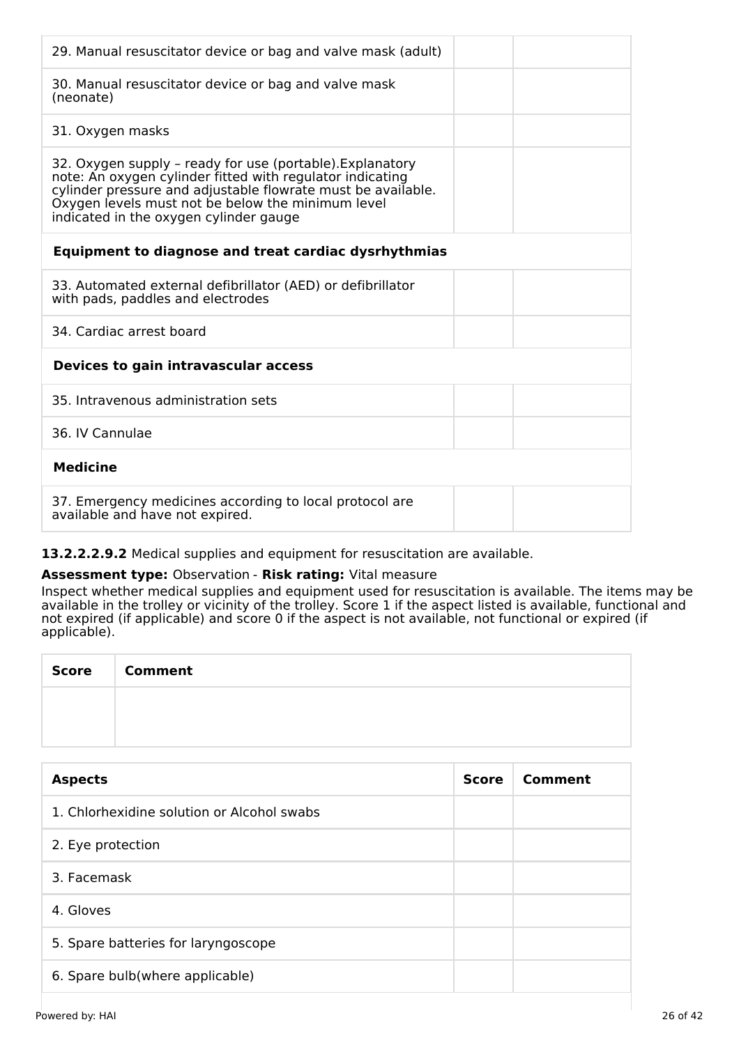| 29. Manual resuscitator device or bag and valve mask (adult)                                                                                                                                                                                                                          |
|---------------------------------------------------------------------------------------------------------------------------------------------------------------------------------------------------------------------------------------------------------------------------------------|
| 30. Manual resuscitator device or bag and valve mask<br>(neonate)                                                                                                                                                                                                                     |
| 31. Oxygen masks                                                                                                                                                                                                                                                                      |
| 32. Oxygen supply - ready for use (portable). Explanatory<br>note: An oxygen cylinder fitted with regulator indicating<br>cylinder pressure and adjustable flowrate must be available.<br>Oxygen levels must not be below the minimum level<br>indicated in the oxygen cylinder gauge |
| <b>Equipment to diagnose and treat cardiac dysrhythmias</b>                                                                                                                                                                                                                           |
| 33. Automated external defibrillator (AED) or defibrillator<br>with pads, paddles and electrodes                                                                                                                                                                                      |
| 34. Cardiac arrest board                                                                                                                                                                                                                                                              |
| Devices to gain intravascular access                                                                                                                                                                                                                                                  |
| 35. Intravenous administration sets                                                                                                                                                                                                                                                   |
| 36. IV Cannulae                                                                                                                                                                                                                                                                       |
| <b>Medicine</b>                                                                                                                                                                                                                                                                       |
| 37. Emergency medicines according to local protocol are<br>available and have not expired.                                                                                                                                                                                            |

## **13.2.2.2.9.2** Medical supplies and equipment for resuscitation are available.

## **Assessment type:** Observation - **Risk rating:** Vital measure

Inspect whether medical supplies and equipment used for resuscitation is available. The items may be available in the trolley or vicinity of the trolley. Score 1 if the aspect listed is available, functional and not expired (if applicable) and score 0 if the aspect is not available, not functional or expired (if applicable).

| <b>Score</b> | <b>Comment</b> |
|--------------|----------------|
|              |                |
|              |                |

| <b>Aspects</b>                             | <b>Score</b> | Comment |
|--------------------------------------------|--------------|---------|
| 1. Chlorhexidine solution or Alcohol swabs |              |         |
| 2. Eye protection                          |              |         |
| 3. Facemask                                |              |         |
| 4. Gloves                                  |              |         |
| 5. Spare batteries for laryngoscope        |              |         |
| 6. Spare bulb(where applicable)            |              |         |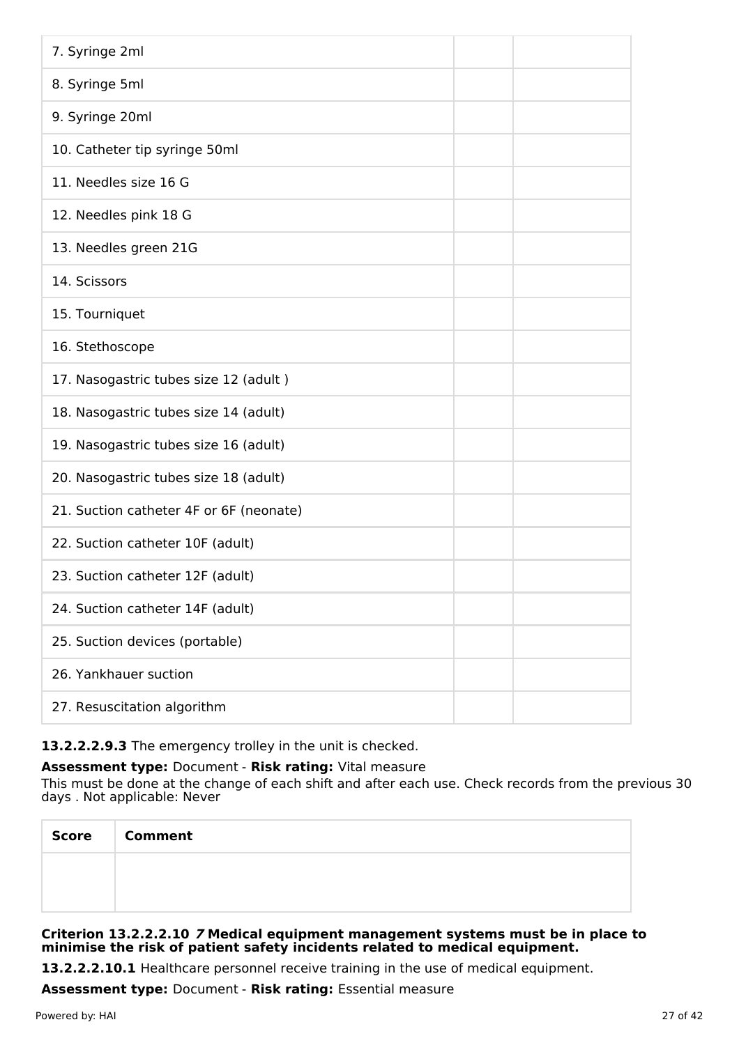| 7. Syringe 2ml                          |  |
|-----------------------------------------|--|
| 8. Syringe 5ml                          |  |
| 9. Syringe 20ml                         |  |
| 10. Catheter tip syringe 50ml           |  |
| 11. Needles size 16 G                   |  |
| 12. Needles pink 18 G                   |  |
| 13. Needles green 21G                   |  |
| 14. Scissors                            |  |
| 15. Tourniquet                          |  |
| 16. Stethoscope                         |  |
| 17. Nasogastric tubes size 12 (adult)   |  |
| 18. Nasogastric tubes size 14 (adult)   |  |
| 19. Nasogastric tubes size 16 (adult)   |  |
| 20. Nasogastric tubes size 18 (adult)   |  |
| 21. Suction catheter 4F or 6F (neonate) |  |
| 22. Suction catheter 10F (adult)        |  |
| 23. Suction catheter 12F (adult)        |  |
| 24. Suction catheter 14F (adult)        |  |
| 25. Suction devices (portable)          |  |
| 26. Yankhauer suction                   |  |
| 27. Resuscitation algorithm             |  |

## **13.2.2.2.9.3** The emergency trolley in the unit is checked.

## **Assessment type:** Document - **Risk rating:** Vital measure

This must be done at the change of each shift and after each use. Check records from the previous 30 days . Not applicable: Never

| <b>Score</b> | <b>Comment</b> |
|--------------|----------------|
|              |                |
|              |                |

### **Criterion 13.2.2.2.10 7 Medical equipment management systems must be in place to minimise the risk of patient safety incidents related to medical equipment.**

**13.2.2.2.10.1** Healthcare personnel receive training in the use of medical equipment.

**Assessment type:** Document - **Risk rating:** Essential measure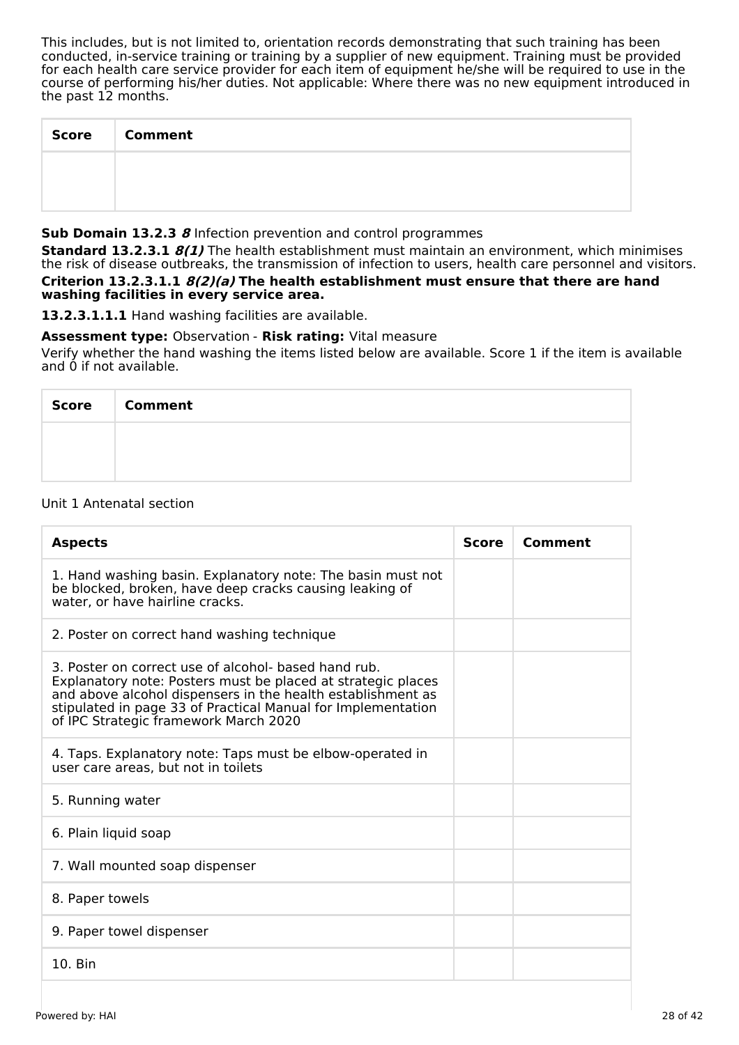This includes, but is not limited to, orientation records demonstrating that such training has been conducted, in-service training or training by a supplier of new equipment. Training must be provided for each health care service provider for each item of equipment he/she will be required to use in the course of performing his/her duties. Not applicable: Where there was no new equipment introduced in the past 12 months.

| <b>Score</b> | <b>Comment</b> |
|--------------|----------------|
|              |                |
|              |                |

#### **Sub Domain 13.2.3 8** Infection prevention and control programmes

**Standard 13.2.3.1 8(1)** The health establishment must maintain an environment, which minimises the risk of disease outbreaks, the transmission of infection to users, health care personnel and visitors. **Criterion 13.2.3.1.1 8(2)(a) The health establishment must ensure that there are hand washing facilities in every service area.**

**13.2.3.1.1.1** Hand washing facilities are available.

### **Assessment type:** Observation - **Risk rating:** Vital measure

Verify whether the hand washing the items listed below are available. Score 1 if the item is available and 0 if not available.

| Score Comment |
|---------------|
|               |
|               |

#### Unit 1 Antenatal section

| <b>Aspects</b>                                                                                                                                                                                                                                                                               | <b>Score</b> | Comment |
|----------------------------------------------------------------------------------------------------------------------------------------------------------------------------------------------------------------------------------------------------------------------------------------------|--------------|---------|
| 1. Hand washing basin. Explanatory note: The basin must not<br>be blocked, broken, have deep cracks causing leaking of<br>water, or have hairline cracks.                                                                                                                                    |              |         |
| 2. Poster on correct hand washing technique                                                                                                                                                                                                                                                  |              |         |
| 3. Poster on correct use of alcohol- based hand rub.<br>Explanatory note: Posters must be placed at strategic places<br>and above alcohol dispensers in the health establishment as<br>stipulated in page 33 of Practical Manual for Implementation<br>of IPC Strategic framework March 2020 |              |         |
| 4. Taps. Explanatory note: Taps must be elbow-operated in<br>user care areas, but not in toilets                                                                                                                                                                                             |              |         |
| 5. Running water                                                                                                                                                                                                                                                                             |              |         |
| 6. Plain liquid soap                                                                                                                                                                                                                                                                         |              |         |
| 7. Wall mounted soap dispenser                                                                                                                                                                                                                                                               |              |         |
| 8. Paper towels                                                                                                                                                                                                                                                                              |              |         |
| 9. Paper towel dispenser                                                                                                                                                                                                                                                                     |              |         |
| 10. Bin                                                                                                                                                                                                                                                                                      |              |         |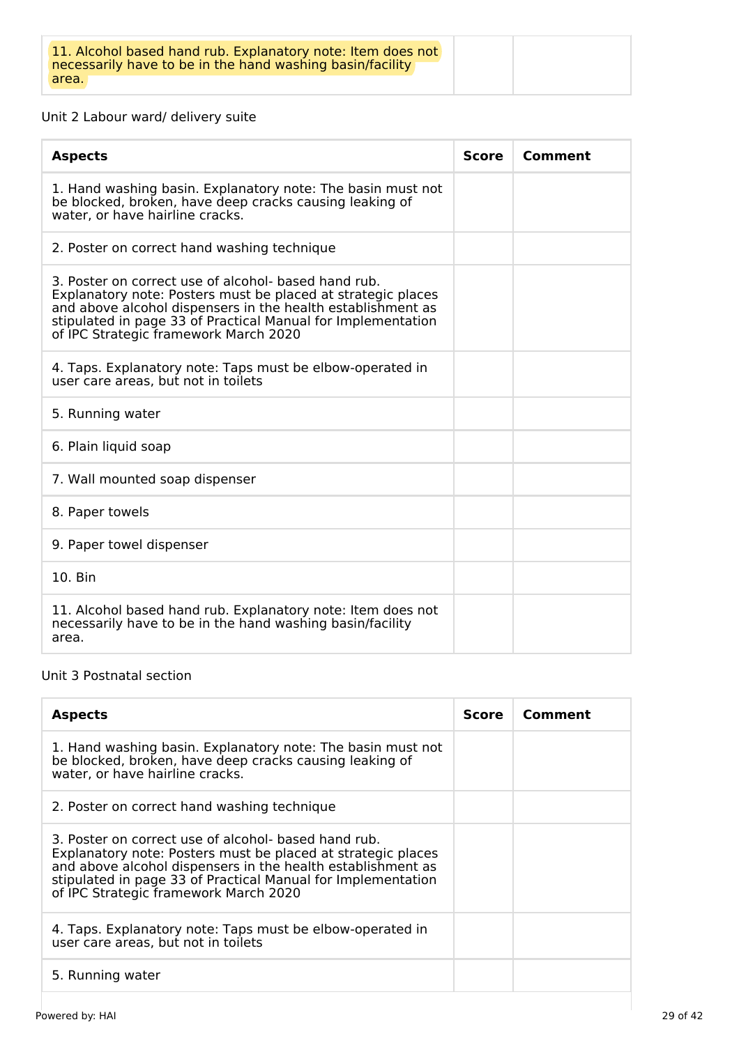# Unit 2 Labour ward/ delivery suite

| <b>Aspects</b>                                                                                                                                                                                                                                                                               | <b>Score</b> | Comment |
|----------------------------------------------------------------------------------------------------------------------------------------------------------------------------------------------------------------------------------------------------------------------------------------------|--------------|---------|
| 1. Hand washing basin. Explanatory note: The basin must not<br>be blocked, broken, have deep cracks causing leaking of<br>water, or have hairline cracks.                                                                                                                                    |              |         |
| 2. Poster on correct hand washing technique                                                                                                                                                                                                                                                  |              |         |
| 3. Poster on correct use of alcohol- based hand rub.<br>Explanatory note: Posters must be placed at strategic places<br>and above alcohol dispensers in the health establishment as<br>stipulated in page 33 of Practical Manual for Implementation<br>of IPC Strategic framework March 2020 |              |         |
| 4. Taps. Explanatory note: Taps must be elbow-operated in<br>user care areas, but not in toilets                                                                                                                                                                                             |              |         |
| 5. Running water                                                                                                                                                                                                                                                                             |              |         |
| 6. Plain liquid soap                                                                                                                                                                                                                                                                         |              |         |
| 7. Wall mounted soap dispenser                                                                                                                                                                                                                                                               |              |         |
| 8. Paper towels                                                                                                                                                                                                                                                                              |              |         |
| 9. Paper towel dispenser                                                                                                                                                                                                                                                                     |              |         |
| 10. Bin                                                                                                                                                                                                                                                                                      |              |         |
| 11. Alcohol based hand rub. Explanatory note: Item does not<br>necessarily have to be in the hand washing basin/facility<br>area.                                                                                                                                                            |              |         |

## Unit 3 Postnatal section

| <b>Aspects</b>                                                                                                                                                                                                                                                                               | Score | Comment |
|----------------------------------------------------------------------------------------------------------------------------------------------------------------------------------------------------------------------------------------------------------------------------------------------|-------|---------|
| 1. Hand washing basin. Explanatory note: The basin must not<br>be blocked, broken, have deep cracks causing leaking of<br>water, or have hairline cracks.                                                                                                                                    |       |         |
| 2. Poster on correct hand washing technique                                                                                                                                                                                                                                                  |       |         |
| 3. Poster on correct use of alcohol- based hand rub.<br>Explanatory note: Posters must be placed at strategic places<br>and above alcohol dispensers in the health establishment as<br>stipulated in page 33 of Practical Manual for Implementation<br>of IPC Strategic framework March 2020 |       |         |
| 4. Taps. Explanatory note: Taps must be elbow-operated in<br>user care areas, but not in toilets                                                                                                                                                                                             |       |         |
| 5. Running water                                                                                                                                                                                                                                                                             |       |         |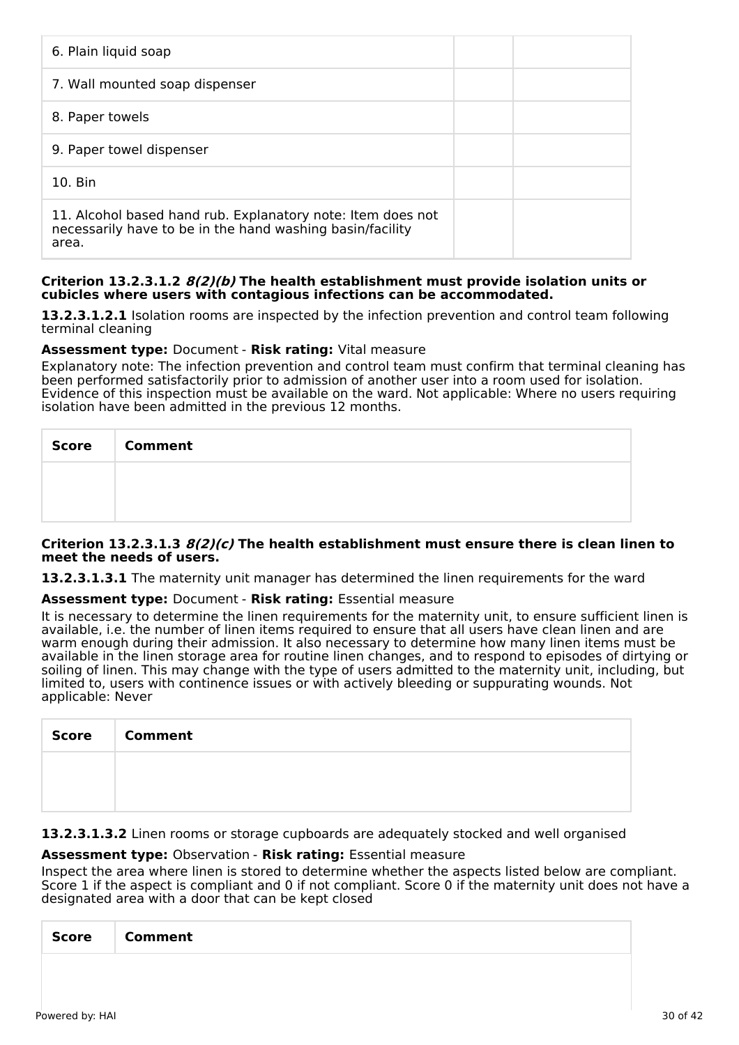| 6. Plain liquid soap                                                                                                              |  |
|-----------------------------------------------------------------------------------------------------------------------------------|--|
| 7. Wall mounted soap dispenser                                                                                                    |  |
| 8. Paper towels                                                                                                                   |  |
| 9. Paper towel dispenser                                                                                                          |  |
| $10.$ Bin                                                                                                                         |  |
| 11. Alcohol based hand rub. Explanatory note: Item does not<br>necessarily have to be in the hand washing basin/facility<br>area. |  |

#### **Criterion 13.2.3.1.2 8(2)(b) The health establishment must provide isolation units or cubicles where users with contagious infections can be accommodated.**

**13.2.3.1.2.1** Isolation rooms are inspected by the infection prevention and control team following terminal cleaning

#### **Assessment type:** Document - **Risk rating:** Vital measure

Explanatory note: The infection prevention and control team must confirm that terminal cleaning has been performed satisfactorily prior to admission of another user into a room used for isolation. Evidence of this inspection must be available on the ward. Not applicable: Where no users requiring isolation have been admitted in the previous 12 months.

| Score   Comment |
|-----------------|
|                 |
|                 |

#### **Criterion 13.2.3.1.3 8(2)(c) The health establishment must ensure there is clean linen to meet the needs of users.**

**13.2.3.1.3.1** The maternity unit manager has determined the linen requirements for the ward

#### **Assessment type:** Document - **Risk rating:** Essential measure

It is necessary to determine the linen requirements for the maternity unit, to ensure sufficient linen is available, i.e. the number of linen items required to ensure that all users have clean linen and are warm enough during their admission. It also necessary to determine how many linen items must be available in the linen storage area for routine linen changes, and to respond to episodes of dirtying or soiling of linen. This may change with the type of users admitted to the maternity unit, including, but limited to, users with continence issues or with actively bleeding or suppurating wounds. Not applicable: Never

| <b>Score</b> | <b>Comment</b> |
|--------------|----------------|
|              |                |
|              |                |

#### **13.2.3.1.3.2** Linen rooms or storage cupboards are adequately stocked and well organised

#### **Assessment type:** Observation - **Risk rating:** Essential measure

Inspect the area where linen is stored to determine whether the aspects listed below are compliant. Score 1 if the aspect is compliant and 0 if not compliant. Score 0 if the maternity unit does not have a designated area with a door that can be kept closed

| <b>Score</b><br><b>Comment</b> |
|--------------------------------|
|--------------------------------|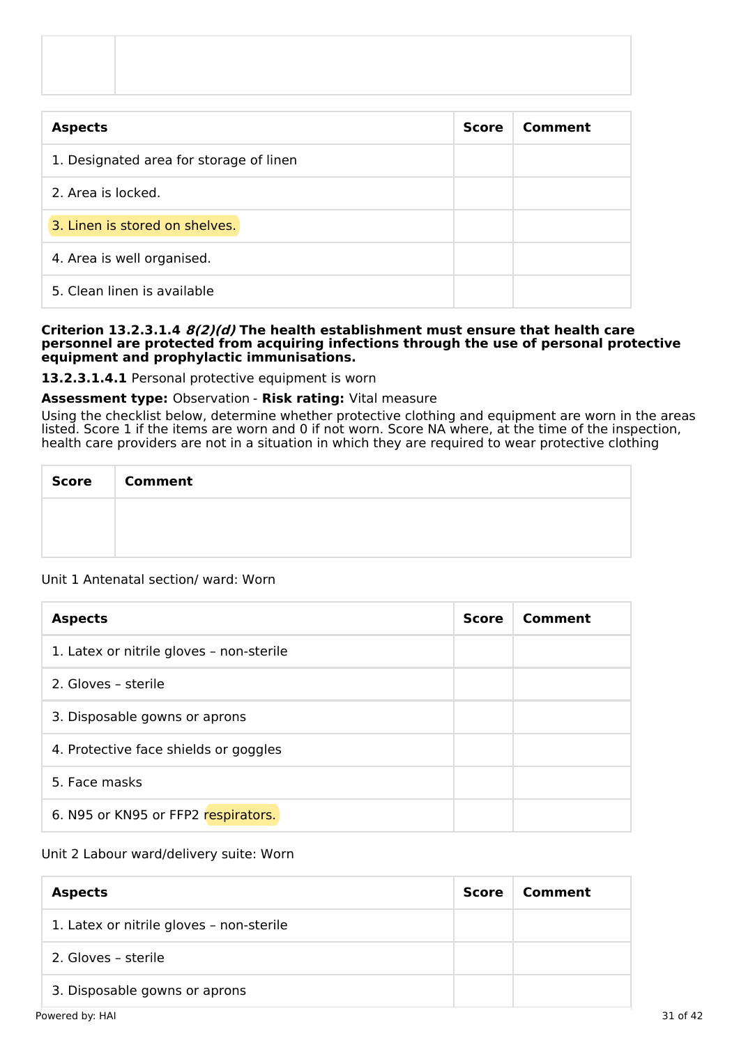| <b>Aspects</b>                          | <b>Score</b> | Comment |
|-----------------------------------------|--------------|---------|
| 1. Designated area for storage of linen |              |         |
| 2. Area is locked.                      |              |         |
| 3. Linen is stored on shelves.          |              |         |
| 4. Area is well organised.              |              |         |
| 5. Clean linen is available             |              |         |

#### **Criterion 13.2.3.1.4 8(2)(d) The health establishment must ensure that health care personnel are protected from acquiring infections through the use of personal protective equipment and prophylactic immunisations.**

**13.2.3.1.4.1** Personal protective equipment is worn

#### **Assessment type:** Observation - **Risk rating:** Vital measure

Using the checklist below, determine whether protective clothing and equipment are worn in the areas listed. Score 1 if the items are worn and 0 if not worn. Score NA where, at the time of the inspection, health care providers are not in a situation in which they are required to wear protective clothing

| <b>Score</b> | <b>Comment</b> |  |  |  |
|--------------|----------------|--|--|--|
|              |                |  |  |  |
|              |                |  |  |  |

#### Unit 1 Antenatal section/ ward: Worn

| <b>Aspects</b>                           | <b>Score</b> | Comment |
|------------------------------------------|--------------|---------|
| 1. Latex or nitrile gloves - non-sterile |              |         |
| 2. Gloves - sterile                      |              |         |
| 3. Disposable gowns or aprons            |              |         |
| 4. Protective face shields or goggles    |              |         |
| 5. Face masks                            |              |         |
| 6. N95 or KN95 or FFP2 respirators.      |              |         |

#### Unit 2 Labour ward/delivery suite: Worn

| <b>Aspects</b>                           | <b>Score</b> | Comment |
|------------------------------------------|--------------|---------|
| 1. Latex or nitrile gloves - non-sterile |              |         |
| 2. Gloves - sterile                      |              |         |
| 3. Disposable gowns or aprons            |              |         |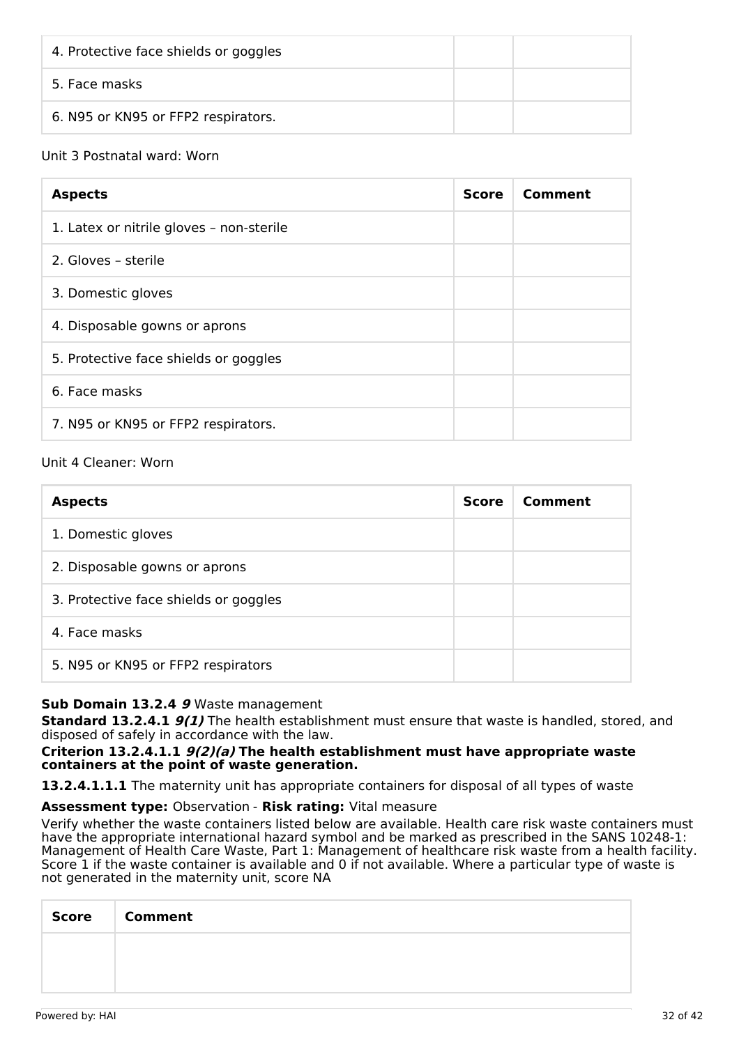| 4. Protective face shields or goggles |  |
|---------------------------------------|--|
| 5. Face masks                         |  |
| 6. N95 or KN95 or FFP2 respirators.   |  |

## Unit 3 Postnatal ward: Worn

| <b>Aspects</b>                           | <b>Score</b> | Comment |
|------------------------------------------|--------------|---------|
| 1. Latex or nitrile gloves - non-sterile |              |         |
| 2. Gloves - sterile                      |              |         |
| 3. Domestic gloves                       |              |         |
| 4. Disposable gowns or aprons            |              |         |
| 5. Protective face shields or goggles    |              |         |
| 6. Face masks                            |              |         |
| 7. N95 or KN95 or FFP2 respirators.      |              |         |

## Unit 4 Cleaner: Worn

| <b>Aspects</b>                        | <b>Score</b> | Comment |
|---------------------------------------|--------------|---------|
| 1. Domestic gloves                    |              |         |
| 2. Disposable gowns or aprons         |              |         |
| 3. Protective face shields or goggles |              |         |
| 4. Face masks                         |              |         |
| 5. N95 or KN95 or FFP2 respirators    |              |         |

## **Sub Domain 13.2.4 9** Waste management

**Standard 13.2.4.1 9(1)** The health establishment must ensure that waste is handled, stored, and disposed of safely in accordance with the law.

#### **Criterion 13.2.4.1.1 9(2)(a) The health establishment must have appropriate waste containers at the point of waste generation.**

**13.2.4.1.1.1** The maternity unit has appropriate containers for disposal of all types of waste

**Assessment type:** Observation - **Risk rating:** Vital measure

Verify whether the waste containers listed below are available. Health care risk waste containers must have the appropriate international hazard symbol and be marked as prescribed in the SANS 10248-1: Management of Health Care Waste, Part 1: Management of healthcare risk waste from a health facility. Score 1 if the waste container is available and 0 if not available. Where a particular type of waste is not generated in the maternity unit, score NA

| Score Comment |
|---------------|
|               |
|               |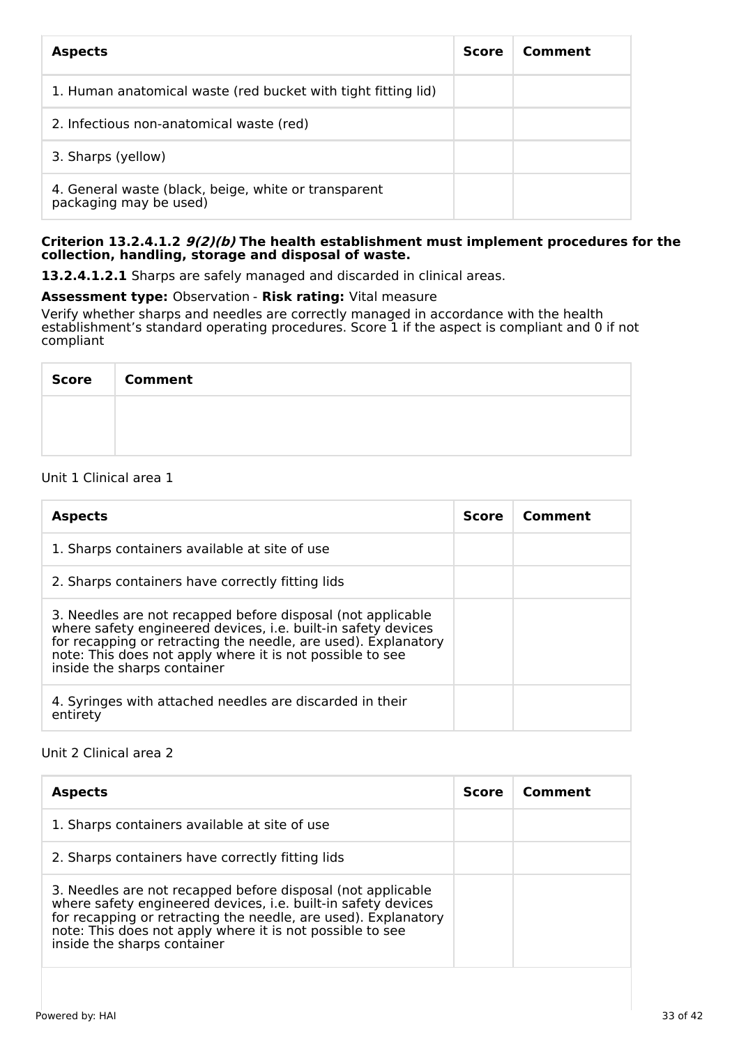| <b>Aspects</b>                                                                 | <b>Score</b> | Comment |
|--------------------------------------------------------------------------------|--------------|---------|
| 1. Human anatomical waste (red bucket with tight fitting lid)                  |              |         |
| 2. Infectious non-anatomical waste (red)                                       |              |         |
| 3. Sharps (yellow)                                                             |              |         |
| 4. General waste (black, beige, white or transparent<br>packaging may be used) |              |         |

#### **Criterion 13.2.4.1.2 9(2)(b) The health establishment must implement procedures for the collection, handling, storage and disposal of waste.**

**13.2.4.1.2.1** Sharps are safely managed and discarded in clinical areas.

### **Assessment type:** Observation - **Risk rating:** Vital measure

Verify whether sharps and needles are correctly managed in accordance with the health establishment's standard operating procedures. Score 1 if the aspect is compliant and 0 if not compliant

| <b>Score</b> | <b>Comment</b> |
|--------------|----------------|
|              |                |
|              |                |

### Unit 1 Clinical area 1

| <b>Aspects</b>                                                                                                                                                                                                                                                                             | <b>Score</b> | Comment |
|--------------------------------------------------------------------------------------------------------------------------------------------------------------------------------------------------------------------------------------------------------------------------------------------|--------------|---------|
| 1. Sharps containers available at site of use                                                                                                                                                                                                                                              |              |         |
| 2. Sharps containers have correctly fitting lids                                                                                                                                                                                                                                           |              |         |
| 3. Needles are not recapped before disposal (not applicable<br>where safety engineered devices, i.e. built-in safety devices<br>for recapping or retracting the needle, are used). Explanatory<br>note: This does not apply where it is not possible to see<br>inside the sharps container |              |         |
| 4. Syringes with attached needles are discarded in their<br>entirety                                                                                                                                                                                                                       |              |         |

## Unit 2 Clinical area 2

| <b>Aspects</b>                                                                                                                                                                                                                                                                             | <b>Score</b> | Comment |
|--------------------------------------------------------------------------------------------------------------------------------------------------------------------------------------------------------------------------------------------------------------------------------------------|--------------|---------|
| 1. Sharps containers available at site of use                                                                                                                                                                                                                                              |              |         |
| 2. Sharps containers have correctly fitting lids                                                                                                                                                                                                                                           |              |         |
| 3. Needles are not recapped before disposal (not applicable<br>where safety engineered devices, i.e. built-in safety devices<br>for recapping or retracting the needle, are used). Explanatory<br>note: This does not apply where it is not possible to see<br>inside the sharps container |              |         |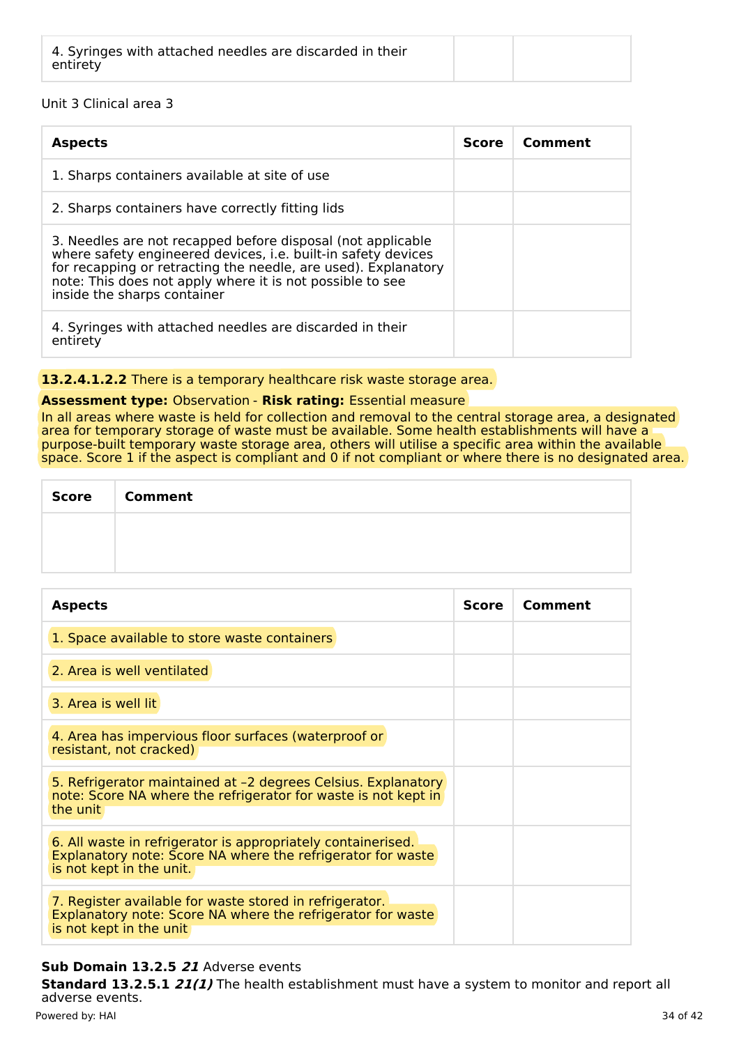| 4. Syringes with attached needles are discarded in their<br>entirety |  |  |  |
|----------------------------------------------------------------------|--|--|--|
|----------------------------------------------------------------------|--|--|--|

## Unit 3 Clinical area 3

| <b>Aspects</b>                                                                                                                                                                                                                                                                             | <b>Score</b> | Comment |
|--------------------------------------------------------------------------------------------------------------------------------------------------------------------------------------------------------------------------------------------------------------------------------------------|--------------|---------|
| 1. Sharps containers available at site of use                                                                                                                                                                                                                                              |              |         |
| 2. Sharps containers have correctly fitting lids                                                                                                                                                                                                                                           |              |         |
| 3. Needles are not recapped before disposal (not applicable<br>where safety engineered devices, i.e. built-in safety devices<br>for recapping or retracting the needle, are used). Explanatory<br>note: This does not apply where it is not possible to see<br>inside the sharps container |              |         |
| 4. Syringes with attached needles are discarded in their<br>entirety                                                                                                                                                                                                                       |              |         |

## **13.2.4.1.2.2** There is a temporary healthcare risk waste storage area.

## **Assessment type:** Observation - **Risk rating:** Essential measure

In all areas where waste is held for collection and removal to the central storage area, a designated area for temporary storage of waste must be available. Some health establishments will have a purpose-built temporary waste storage area, others will utilise a specific area within the available space. Score 1 if the aspect is compliant and 0 if not compliant or where there is no designated area.

| Score | <b>Comment</b> |
|-------|----------------|
|       |                |
|       |                |

| <b>Aspects</b>                                                                                                                                          | <b>Score</b> | Comment |
|---------------------------------------------------------------------------------------------------------------------------------------------------------|--------------|---------|
| 1. Space available to store waste containers                                                                                                            |              |         |
| 2. Area is well ventilated                                                                                                                              |              |         |
| 3. Area is well lit                                                                                                                                     |              |         |
| 4. Area has impervious floor surfaces (waterproof or<br>resistant, not cracked)                                                                         |              |         |
| 5. Refrigerator maintained at -2 degrees Celsius. Explanatory<br>note: Score NA where the refrigerator for waste is not kept in<br>the unit             |              |         |
| 6. All waste in refrigerator is appropriately containerised.<br>Explanatory note: Score NA where the refrigerator for waste<br>is not kept in the unit. |              |         |
| 7. Register available for waste stored in refrigerator.<br>Explanatory note: Score NA where the refrigerator for waste<br>is not kept in the unit       |              |         |

## **Sub Domain 13.2.5 21** Adverse events

**Standard 13.2.5.1 21(1)** The health establishment must have a system to monitor and report all adverse events. Powered by: HAI 34 of 42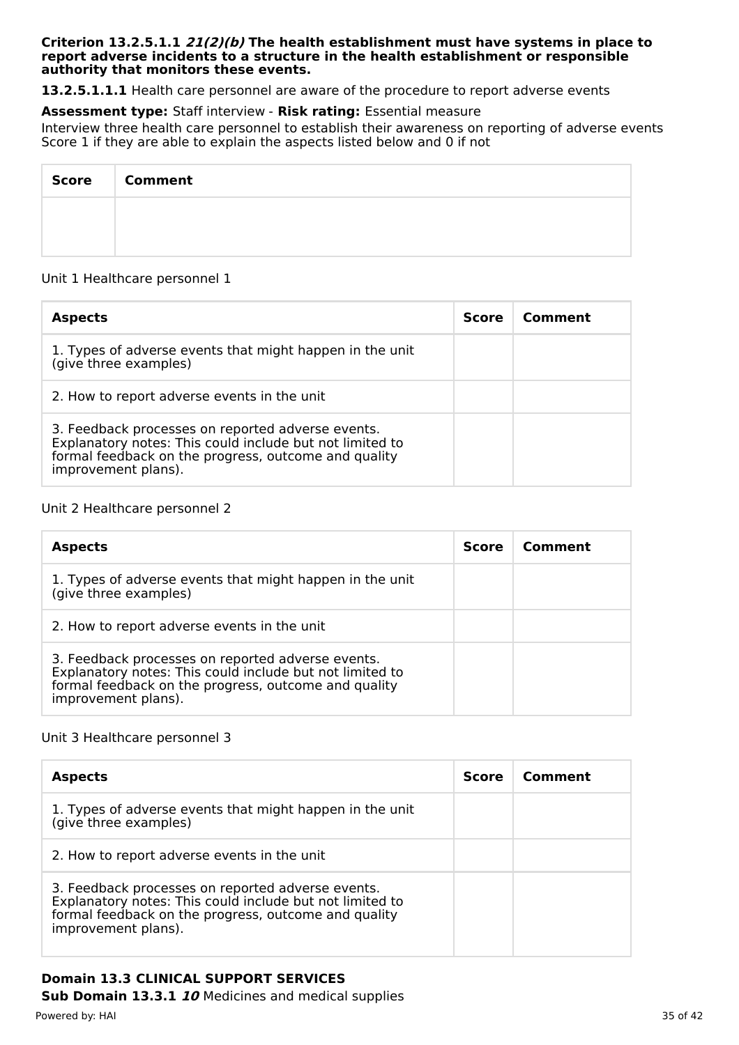#### **Criterion 13.2.5.1.1 21(2)(b) The health establishment must have systems in place to report adverse incidents to a structure in the health establishment or responsible authority that monitors these events.**

**13.2.5.1.1.1** Health care personnel are aware of the procedure to report adverse events

**Assessment type:** Staff interview - **Risk rating:** Essential measure

Interview three health care personnel to establish their awareness on reporting of adverse events Score 1 if they are able to explain the aspects listed below and 0 if not

| <b>Score</b> | <b>Comment</b> |
|--------------|----------------|
|              |                |
|              |                |

### Unit 1 Healthcare personnel 1

| <b>Aspects</b>                                                                                                                                                                               | <b>Score</b> | Comment |
|----------------------------------------------------------------------------------------------------------------------------------------------------------------------------------------------|--------------|---------|
| 1. Types of adverse events that might happen in the unit<br>(give three examples)                                                                                                            |              |         |
| 2. How to report adverse events in the unit                                                                                                                                                  |              |         |
| 3. Feedback processes on reported adverse events.<br>Explanatory notes: This could include but not limited to<br>formal feedback on the progress, outcome and quality<br>improvement plans). |              |         |

### Unit 2 Healthcare personnel 2

| <b>Aspects</b>                                                                                                                                                                               | <b>Score</b> | Comment |
|----------------------------------------------------------------------------------------------------------------------------------------------------------------------------------------------|--------------|---------|
| 1. Types of adverse events that might happen in the unit<br>(give three examples)                                                                                                            |              |         |
| 2. How to report adverse events in the unit                                                                                                                                                  |              |         |
| 3. Feedback processes on reported adverse events.<br>Explanatory notes: This could include but not limited to<br>formal feedback on the progress, outcome and quality<br>improvement plans). |              |         |

#### Unit 3 Healthcare personnel 3

| <b>Aspects</b>                                                                                                                                                                               | <b>Score</b> | Comment |
|----------------------------------------------------------------------------------------------------------------------------------------------------------------------------------------------|--------------|---------|
| 1. Types of adverse events that might happen in the unit<br>(give three examples)                                                                                                            |              |         |
| 2. How to report adverse events in the unit                                                                                                                                                  |              |         |
| 3. Feedback processes on reported adverse events.<br>Explanatory notes: This could include but not limited to<br>formal feedback on the progress, outcome and quality<br>improvement plans). |              |         |

# **Domain 13.3 CLINICAL SUPPORT SERVICES**

**Sub Domain 13.3.1 10** Medicines and medical supplies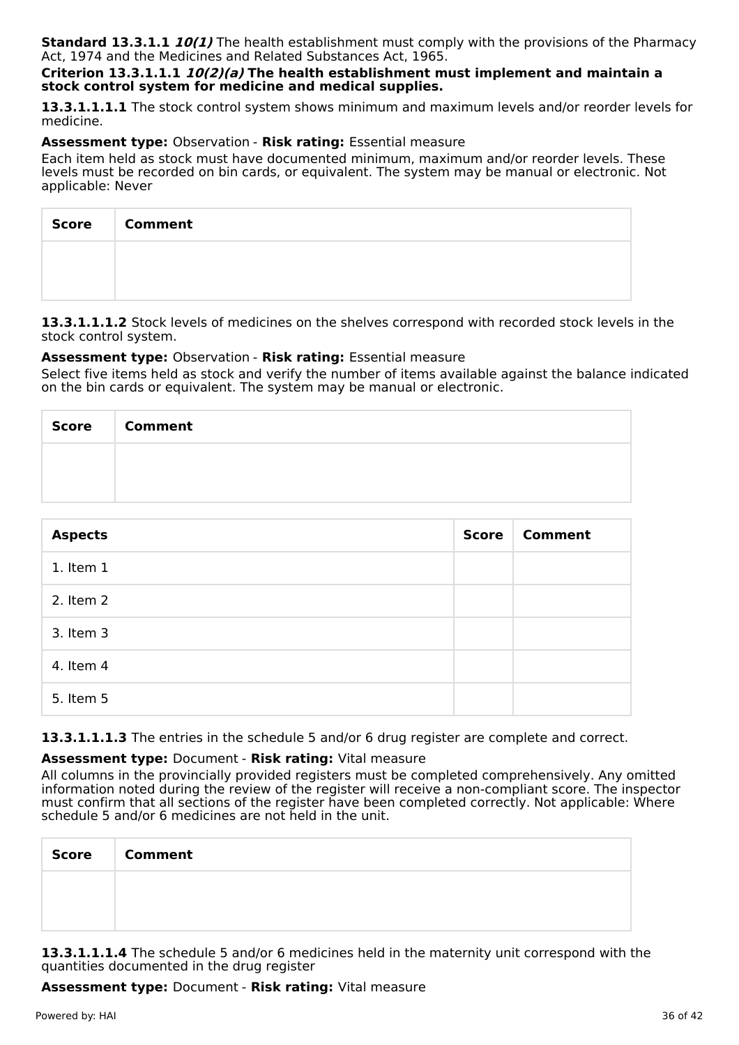**Standard 13.3.1.1 10(1)** The health establishment must comply with the provisions of the Pharmacy Act, 1974 and the Medicines and Related Substances Act, 1965.

#### **Criterion 13.3.1.1.1 10(2)(a) The health establishment must implement and maintain a stock control system for medicine and medical supplies.**

**13.3.1.1.1.1** The stock control system shows minimum and maximum levels and/or reorder levels for medicine.

#### **Assessment type:** Observation - **Risk rating:** Essential measure

Each item held as stock must have documented minimum, maximum and/or reorder levels. These levels must be recorded on bin cards, or equivalent. The system may be manual or electronic. Not applicable: Never

| Score Comment |
|---------------|
|               |
|               |

**13.3.1.1.1.2** Stock levels of medicines on the shelves correspond with recorded stock levels in the stock control system.

#### **Assessment type:** Observation - **Risk rating:** Essential measure

Select five items held as stock and verify the number of items available against the balance indicated on the bin cards or equivalent. The system may be manual or electronic.

| <b>Score</b> | <b>Comment</b> |
|--------------|----------------|
|              |                |
|              |                |

| <b>Aspects</b> | <b>Score</b> | <b>Comment</b> |
|----------------|--------------|----------------|
| 1. Item 1      |              |                |
| 2. Item 2      |              |                |
| 3. Item 3      |              |                |
| 4. Item 4      |              |                |
| 5. Item 5      |              |                |

**13.3.1.1.1.3** The entries in the schedule 5 and/or 6 drug register are complete and correct.

## **Assessment type:** Document - **Risk rating:** Vital measure

All columns in the provincially provided registers must be completed comprehensively. Any omitted information noted during the review of the register will receive a non-compliant score. The inspector must confirm that all sections of the register have been completed correctly. Not applicable: Where schedule 5 and/or 6 medicines are not held in the unit.

| Score Comment |
|---------------|
|               |
|               |

**13.3.1.1.1.4** The schedule 5 and/or 6 medicines held in the maternity unit correspond with the quantities documented in the drug register

**Assessment type:** Document - **Risk rating:** Vital measure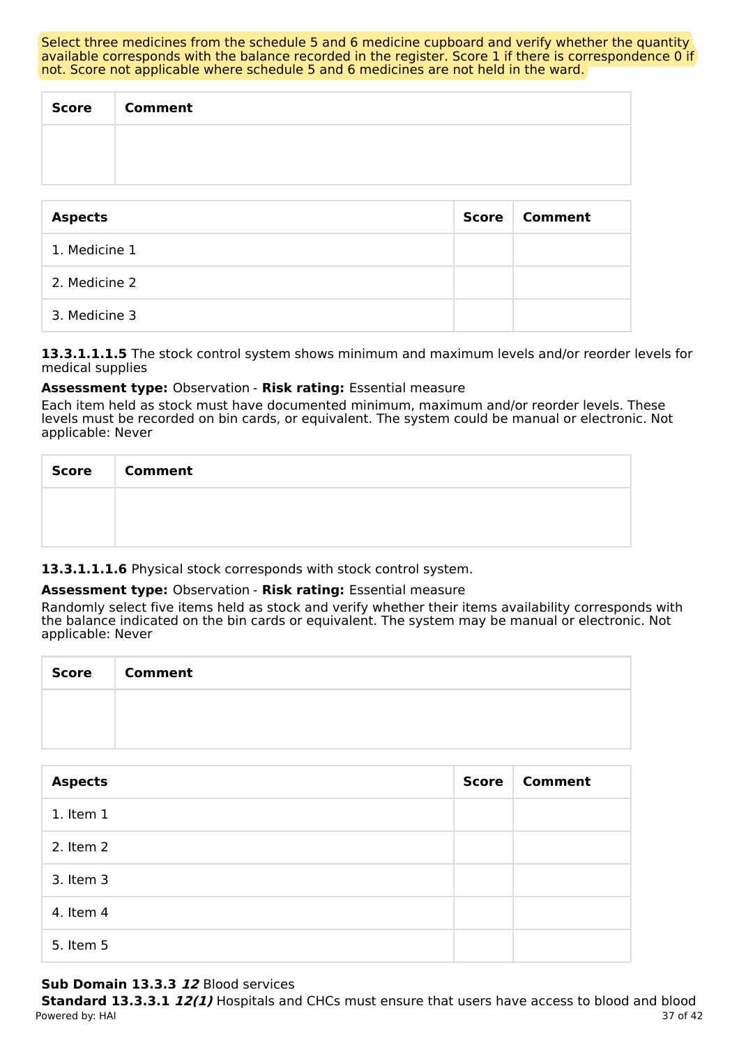Select three medicines from the schedule 5 and 6 medicine cupboard and verify whether the quantity available corresponds with the balance recorded in the register. Score 1 if there is correspondence 0 if not. Score not applicable where schedule 5 and 6 medicines are not held in the ward.

| <b>Score</b> | <b>Comment</b> |
|--------------|----------------|
|              |                |
|              |                |

| <b>Aspects</b> | Score | <b>Comment</b> |
|----------------|-------|----------------|
| 1. Medicine 1  |       |                |
| 2. Medicine 2  |       |                |
| 3. Medicine 3  |       |                |

**13.3.1.1.1.5** The stock control system shows minimum and maximum levels and/or reorder levels for medical supplies

## **Assessment type:** Observation - **Risk rating:** Essential measure

Each item held as stock must have documented minimum, maximum and/or reorder levels. These levels must be recorded on bin cards, or equivalent. The system could be manual or electronic. Not applicable: Never

| <b>Score</b> | <b>Comment</b> |
|--------------|----------------|
|              |                |
|              |                |

**13.3.1.1.1.6** Physical stock corresponds with stock control system.

## **Assessment type:** Observation - **Risk rating:** Essential measure

Randomly select five items held as stock and verify whether their items availability corresponds with the balance indicated on the bin cards or equivalent. The system may be manual or electronic. Not applicable: Never

| Score | <b>Comment</b> |
|-------|----------------|
|       |                |
|       |                |

| <b>Aspects</b> | <b>Score</b> | <b>Comment</b> |
|----------------|--------------|----------------|
| $1.$ Item $1$  |              |                |
| 2. Item 2      |              |                |
| 3. Item 3      |              |                |
| 4. Item 4      |              |                |
| 5. Item 5      |              |                |

## **Sub Domain 13.3.3 12** Blood services

**Standard 13.3.3.1 12(1)** Hospitals and CHCs must ensure that users have access to blood and blood Powered by: HAI 37 of 42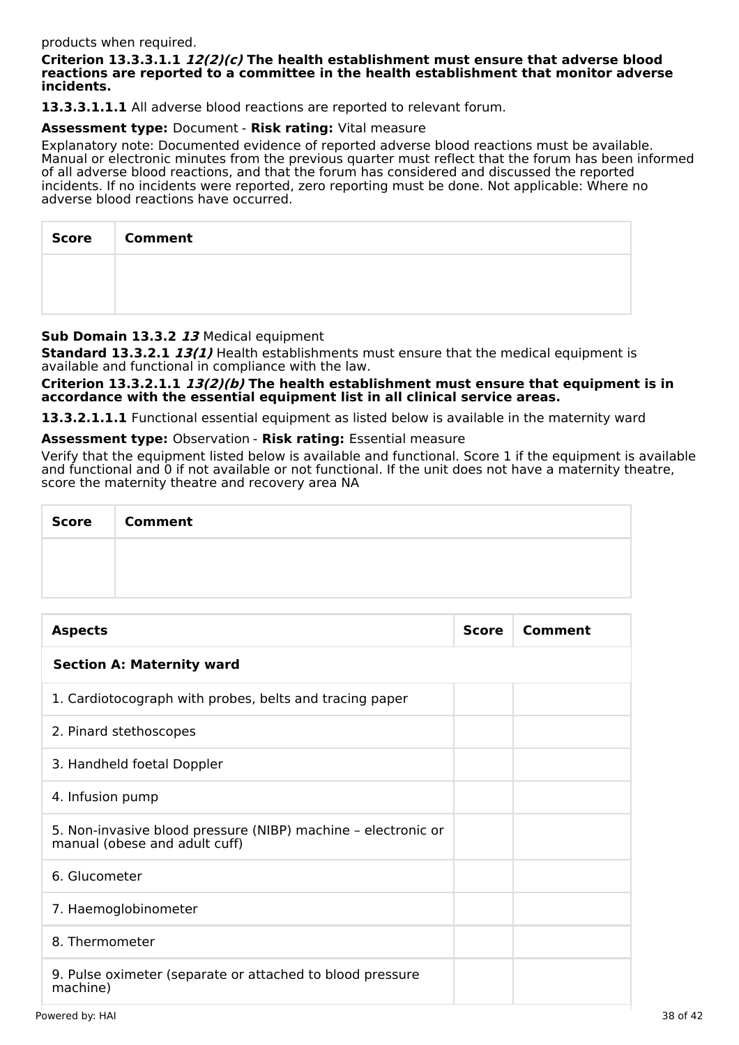#### products when required.

#### **Criterion 13.3.3.1.1 12(2)(c) The health establishment must ensure that adverse blood reactions are reported to a committee in the health establishment that monitor adverse incidents.**

**13.3.3.1.1.1** All adverse blood reactions are reported to relevant forum.

#### **Assessment type:** Document - **Risk rating:** Vital measure

Explanatory note: Documented evidence of reported adverse blood reactions must be available. Manual or electronic minutes from the previous quarter must reflect that the forum has been informed of all adverse blood reactions, and that the forum has considered and discussed the reported incidents. If no incidents were reported, zero reporting must be done. Not applicable: Where no adverse blood reactions have occurred.

| <b>Score</b> | <b>Comment</b> |
|--------------|----------------|
|              |                |
|              |                |

### **Sub Domain 13.3.2 13** Medical equipment

**Standard 13.3.2.1 13(1)** Health establishments must ensure that the medical equipment is available and functional in compliance with the law.

**Criterion 13.3.2.1.1 13(2)(b) The health establishment must ensure that equipment is in accordance with the essential equipment list in all clinical service areas.**

**13.3.2.1.1.1** Functional essential equipment as listed below is available in the maternity ward

**Assessment type:** Observation - **Risk rating:** Essential measure

Verify that the equipment listed below is available and functional. Score 1 if the equipment is available and functional and 0 if not available or not functional. If the unit does not have a maternity theatre, score the maternity theatre and recovery area NA

| <b>Score</b> | <b>Comment</b> |
|--------------|----------------|
|              |                |
|              |                |

| <b>Aspects</b>                                                                                 | <b>Score</b> | Comment |
|------------------------------------------------------------------------------------------------|--------------|---------|
| <b>Section A: Maternity ward</b>                                                               |              |         |
| 1. Cardiotocograph with probes, belts and tracing paper                                        |              |         |
| 2. Pinard stethoscopes                                                                         |              |         |
| 3. Handheld foetal Doppler                                                                     |              |         |
| 4. Infusion pump                                                                               |              |         |
| 5. Non-invasive blood pressure (NIBP) machine - electronic or<br>manual (obese and adult cuff) |              |         |
| 6. Glucometer                                                                                  |              |         |
| 7. Haemoglobinometer                                                                           |              |         |
| 8. Thermometer                                                                                 |              |         |
| 9. Pulse oximeter (separate or attached to blood pressure<br>machine)                          |              |         |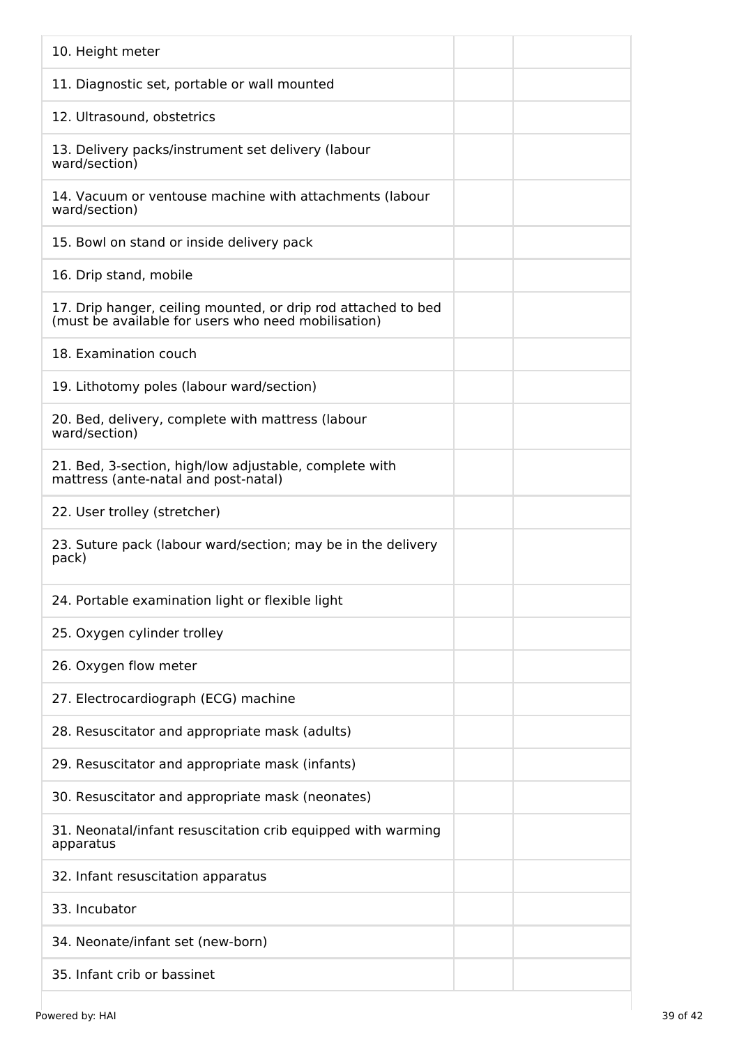| 10. Height meter                                                                                                     |
|----------------------------------------------------------------------------------------------------------------------|
| 11. Diagnostic set, portable or wall mounted                                                                         |
| 12. Ultrasound, obstetrics                                                                                           |
| 13. Delivery packs/instrument set delivery (labour<br>ward/section)                                                  |
| 14. Vacuum or ventouse machine with attachments (labour<br>ward/section)                                             |
| 15. Bowl on stand or inside delivery pack                                                                            |
| 16. Drip stand, mobile                                                                                               |
| 17. Drip hanger, ceiling mounted, or drip rod attached to bed<br>(must be available for users who need mobilisation) |
| 18. Examination couch                                                                                                |
| 19. Lithotomy poles (labour ward/section)                                                                            |
| 20. Bed, delivery, complete with mattress (labour<br>ward/section)                                                   |
| 21. Bed, 3-section, high/low adjustable, complete with<br>mattress (ante-natal and post-natal)                       |
| 22. User trolley (stretcher)                                                                                         |
| 23. Suture pack (labour ward/section; may be in the delivery<br>pack)                                                |
| 24. Portable examination light or flexible light                                                                     |
| 25. Oxygen cylinder trolley                                                                                          |
| 26. Oxygen flow meter                                                                                                |
| 27. Electrocardiograph (ECG) machine                                                                                 |
| 28. Resuscitator and appropriate mask (adults)                                                                       |
| 29. Resuscitator and appropriate mask (infants)                                                                      |
| 30. Resuscitator and appropriate mask (neonates)                                                                     |
| 31. Neonatal/infant resuscitation crib equipped with warming<br>apparatus                                            |
| 32. Infant resuscitation apparatus                                                                                   |
| 33. Incubator                                                                                                        |
| 34. Neonate/infant set (new-born)                                                                                    |
| 35. Infant crib or bassinet                                                                                          |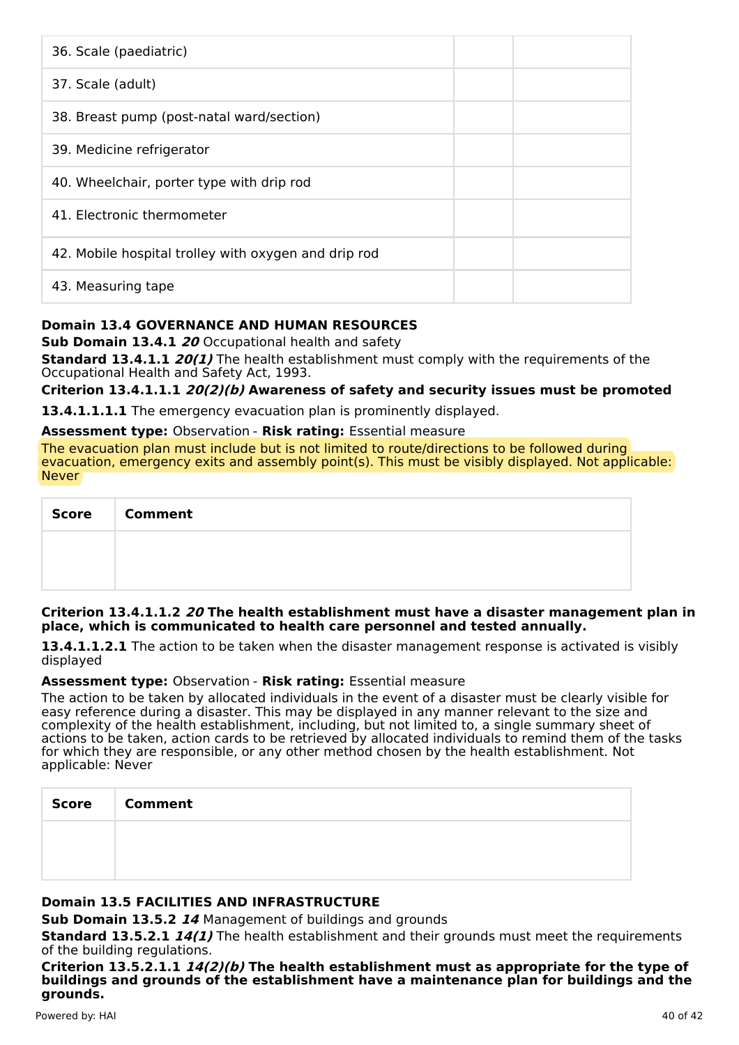| 36. Scale (paediatric)                               |  |
|------------------------------------------------------|--|
| 37. Scale (adult)                                    |  |
| 38. Breast pump (post-natal ward/section)            |  |
| 39. Medicine refrigerator                            |  |
| 40. Wheelchair, porter type with drip rod            |  |
| 41. Electronic thermometer                           |  |
| 42. Mobile hospital trolley with oxygen and drip rod |  |
| 43. Measuring tape                                   |  |

## **Domain 13.4 GOVERNANCE AND HUMAN RESOURCES**

**Sub Domain 13.4.1 20** Occupational health and safety

**Standard 13.4.1.1 20(1)** The health establishment must comply with the requirements of the Occupational Health and Safety Act, 1993.

**Criterion 13.4.1.1.1 20(2)(b) Awareness of safety and security issues must be promoted**

**13.4.1.1.1.1** The emergency evacuation plan is prominently displayed.

#### **Assessment type:** Observation - **Risk rating:** Essential measure

The evacuation plan must include but is not limited to route/directions to be followed during evacuation, emergency exits and assembly point(s). This must be visibly displayed. Not applicable: Never

| <b>Score</b> | <b>Comment</b> |
|--------------|----------------|
|              |                |
|              |                |

#### **Criterion 13.4.1.1.2 20 The health establishment must have a disaster management plan in place, which is communicated to health care personnel and tested annually.**

**13.4.1.1.2.1** The action to be taken when the disaster management response is activated is visibly displayed

#### **Assessment type:** Observation - **Risk rating:** Essential measure

The action to be taken by allocated individuals in the event of a disaster must be clearly visible for easy reference during a disaster. This may be displayed in any manner relevant to the size and complexity of the health establishment, including, but not limited to, a single summary sheet of actions to be taken, action cards to be retrieved by allocated individuals to remind them of the tasks for which they are responsible, or any other method chosen by the health establishment. Not applicable: Never

| <b>Score</b> | <b>Comment</b> |
|--------------|----------------|
|              |                |
|              |                |

## **Domain 13.5 FACILITIES AND INFRASTRUCTURE**

**Sub Domain 13.5.2 14** Management of buildings and grounds

**Standard 13.5.2.1 14(1)** The health establishment and their grounds must meet the requirements of the building regulations.

**Criterion 13.5.2.1.1 14(2)(b) The health establishment must as appropriate for the type of buildings and grounds of the establishment have a maintenance plan for buildings and the grounds.**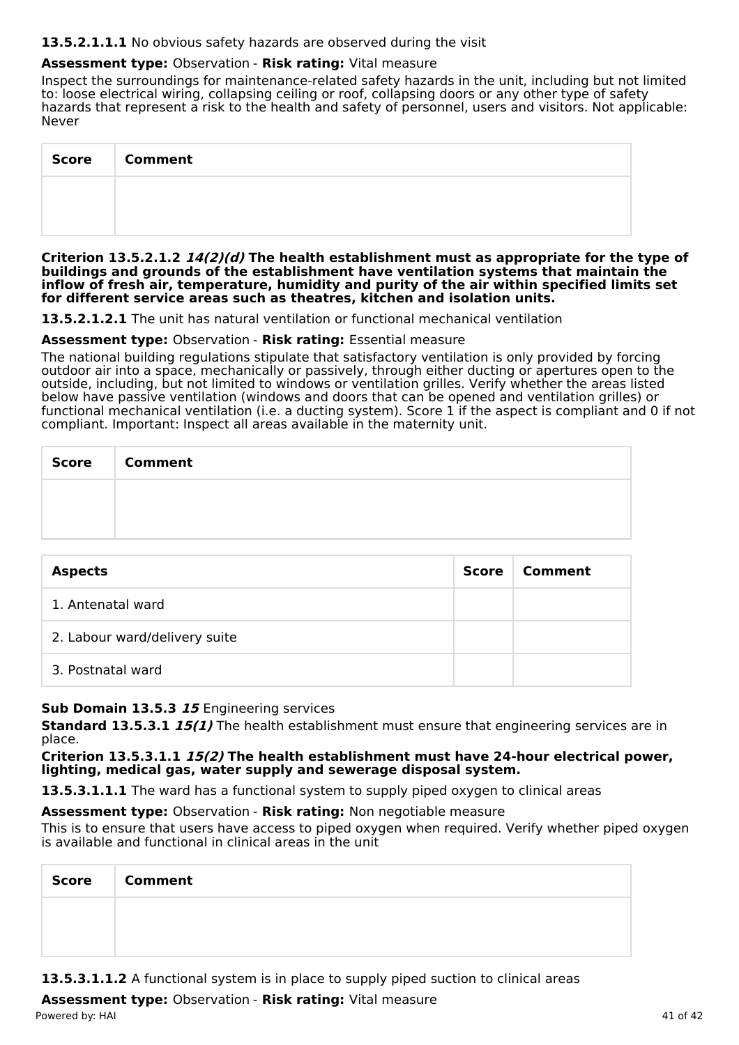#### **13.5.2.1.1.1** No obvious safety hazards are observed during the visit

## **Assessment type:** Observation - **Risk rating:** Vital measure

Inspect the surroundings for maintenance-related safety hazards in the unit, including but not limited to: loose electrical wiring, collapsing ceiling or roof, collapsing doors or any other type of safety hazards that represent a risk to the health and safety of personnel, users and visitors. Not applicable: Never

| <b>Score</b> | <b>Comment</b> |
|--------------|----------------|
|              |                |
|              |                |

**Criterion 13.5.2.1.2 14(2)(d) The health establishment must as appropriate for the type of buildings and grounds of the establishment have ventilation systems that maintain the inflow of fresh air, temperature, humidity and purity of the air within specified limits set for different service areas such as theatres, kitchen and isolation units.**

**13.5.2.1.2.1** The unit has natural ventilation or functional mechanical ventilation

### **Assessment type:** Observation - **Risk rating:** Essential measure

The national building regulations stipulate that satisfactory ventilation is only provided by forcing outdoor air into a space, mechanically or passively, through either ducting or apertures open to the outside, including, but not limited to windows or ventilation grilles. Verify whether the areas listed below have passive ventilation (windows and doors that can be opened and ventilation grilles) or functional mechanical ventilation (i.e. a ducting system). Score 1 if the aspect is compliant and 0 if not compliant. Important: Inspect all areas available in the maternity unit.

| Score   Comment |
|-----------------|
|                 |
|                 |

| <b>Aspects</b>                | Score | Comment |
|-------------------------------|-------|---------|
| 1. Antenatal ward             |       |         |
| 2. Labour ward/delivery suite |       |         |
| 3. Postnatal ward             |       |         |

## **Sub Domain 13.5.3 15** Engineering services

**Standard 13.5.3.1 15(1)** The health establishment must ensure that engineering services are in place.

**Criterion 13.5.3.1.1 15(2) The health establishment must have 24-hour electrical power, lighting, medical gas, water supply and sewerage disposal system.**

**13.5.3.1.1.1** The ward has a functional system to supply piped oxygen to clinical areas

**Assessment type:** Observation - **Risk rating:** Non negotiable measure

This is to ensure that users have access to piped oxygen when required. Verify whether piped oxygen is available and functional in clinical areas in the unit

| <b>Score</b> | <b>Comment</b> |
|--------------|----------------|
|              |                |
|              |                |

**13.5.3.1.1.2** A functional system is in place to supply piped suction to clinical areas

**Assessment type:** Observation - **Risk rating:** Vital measure